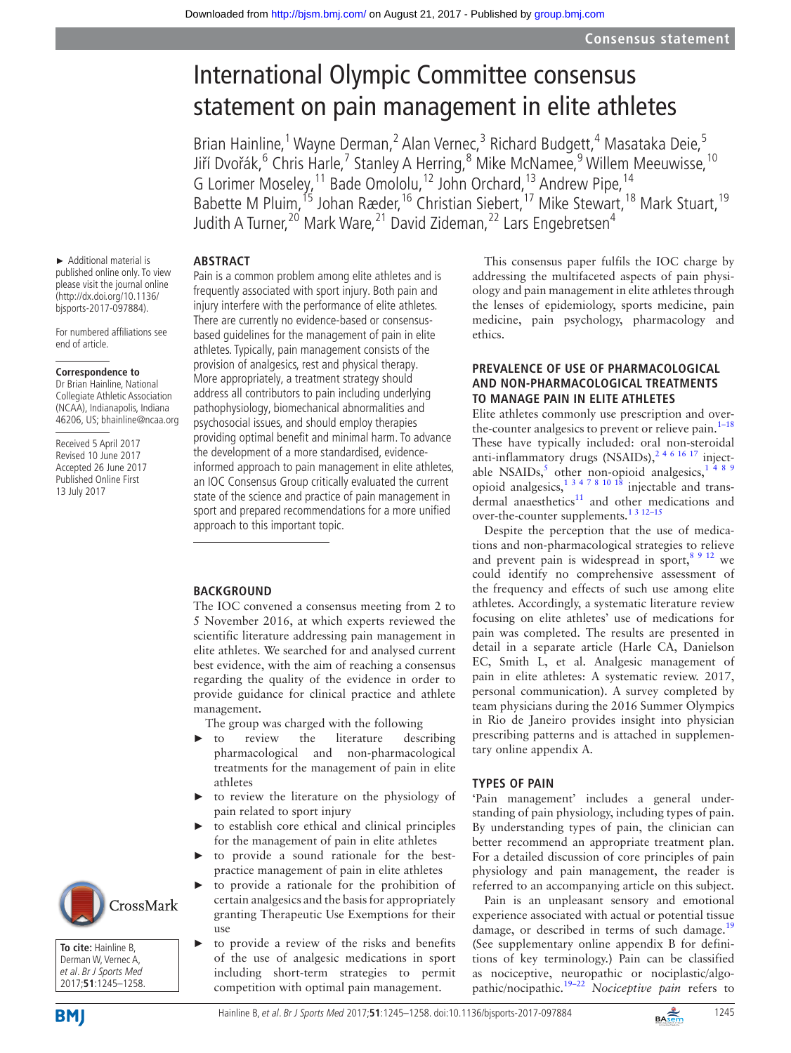# International Olympic Committee consensus statement on pain management in elite athletes

Brian Hainline,<sup>1</sup> Wayne Derman,<sup>2</sup> Alan Vernec,<sup>3</sup> Richard Budgett,<sup>4</sup> Masataka Deie,<sup>5</sup> Jiří Dvořák,<sup>6</sup> Chris Harle,<sup>7</sup> Stanley A Herring,<sup>8</sup> Mike McNamee,<sup>9</sup> Willem Meeuwisse,<sup>10</sup> G Lorimer Moseley,<sup>11</sup> Bade Omololu,<sup>12</sup> John Orchard,<sup>13</sup> Andrew Pipe,<sup>14</sup> Babette M Pluim,<sup>15</sup> Johan Ræder,<sup>16</sup> Christian Siebert,<sup>17</sup> Mike Stewart,<sup>18</sup> Mark Stuart,<sup>19</sup> Judith A Turner,<sup>20</sup> Mark Ware,<sup>21</sup> David Zideman,<sup>22</sup> Lars Engebretsen<sup>4</sup>

## **Abstract**

► Additional material is published online only. To view please visit the journal online (http://dx.doi.org/10.1136/ bjsports-2017-097884).

For numbered affiliations see end of article.

#### **Correspondence to**

Dr Brian Hainline, National Collegiate Athletic Association (NCAA), Indianapolis, Indiana 46206, US; bhainline@ncaa.org

Received 5 April 2017 Revised 10 June 2017 Accepted 26 June 2017 Published Online First 13 July 2017

Pain is a common problem among elite athletes and is frequently associated with sport injury. Both pain and injury interfere with the performance of elite athletes. There are currently no evidence-based or consensusbased guidelines for the management of pain in elite athletes. Typically, pain management consists of the provision of analgesics, rest and physical therapy. More appropriately, a treatment strategy should address all contributors to pain including underlying pathophysiology, biomechanical abnormalities and psychosocial issues, and should employ therapies providing optimal benefit and minimal harm. To advance the development of a more standardised, evidenceinformed approach to pain management in elite athletes, an IOC Consensus Group critically evaluated the current state of the science and practice of pain management in sport and prepared recommendations for a more unified approach to this important topic.

#### **BACKGROUND**

The IOC convened a consensus meeting from 2 to 5 November 2016, at which experts reviewed the scientific literature addressing pain management in elite athletes. We searched for and analysed current best evidence, with the aim of reaching a consensus regarding the quality of the evidence in order to provide guidance for clinical practice and athlete management.

The group was charged with the following

- ► to review the literature describing pharmacological and non-pharmacological treatments for the management of pain in elite athletes
- to review the literature on the physiology of pain related to sport injury
- to establish core ethical and clinical principles for the management of pain in elite athletes
- ► to provide a sound rationale for the bestpractice management of pain in elite athletes
- to provide a rationale for the prohibition of certain analgesics and the basis for appropriately granting Therapeutic Use Exemptions for their use
- to provide a review of the risks and benefits of the use of analgesic medications in sport including short-term strategies to permit competition with optimal pain management.

This consensus paper fulfils the IOC charge by addressing the multifaceted aspects of pain physiology and pain management in elite athletes through the lenses of epidemiology, sports medicine, pain medicine, pain psychology, pharmacology and ethics.

## **Prevalence of use of pharmacological and non-pharmacological treatments TO MANAGE PAIN IN ELITE ATHLETES**

Elite athletes commonly use prescription and overthe-counter analgesics to prevent or relieve pain. $1-18$ These have typically included: oral non-steroidal anti-inflammatory drugs (NSAIDs), $^{246}$  16 17 inject-able NSAIDs,<sup>[5](#page-8-2)</sup> other non-opioid analgesics,  $1489$ opioid analgesics,  $1 \times 3 \times 7 \times 10 \times 18$  injectable and trans $d$ ermal anaesthetics $11$  and other medications and over-the-counter supplements.[1 3 12–15](#page-8-0)

Despite the perception that the use of medications and non-pharmacological strategies to relieve and prevent pain is widespread in sport,  $8912$  we could identify no comprehensive assessment of the frequency and effects of such use among elite athletes. Accordingly, a systematic literature review focusing on elite athletes' use of medications for pain was completed. The results are presented in detail in a separate article (Harle CA, Danielson EC, Smith L, et al. Analgesic management of pain in elite athletes: A systematic review. 2017, personal communication). A survey completed by team physicians during the 2016 Summer Olympics in Rio de Janeiro provides insight into physician prescribing patterns and is attached in supplementary [online appendix A](https://dx.doi.org/10.1136/bjsports-2017-097884).

#### **Types of pain**

'Pain management' includes a general understanding of pain physiology, including types of pain. By understanding types of pain, the clinician can better recommend an appropriate treatment plan. For a detailed discussion of core principles of pain physiology and pain management, the reader is referred to an accompanying article on this subject.

Pain is an unpleasant sensory and emotional experience associated with actual or potential tissue damage, or described in terms of such damage.<sup>[19](#page-8-5)</sup> (See supplementary [online appendix](https://dx.doi.org/10.1136/bjsports-2017-097884) B for definitions of key terminology.) Pain can be classified as nociceptive, neuropathic or nociplastic/algopathic/nocipathic.[19–22](#page-8-5) *Nociceptive pain* refers to





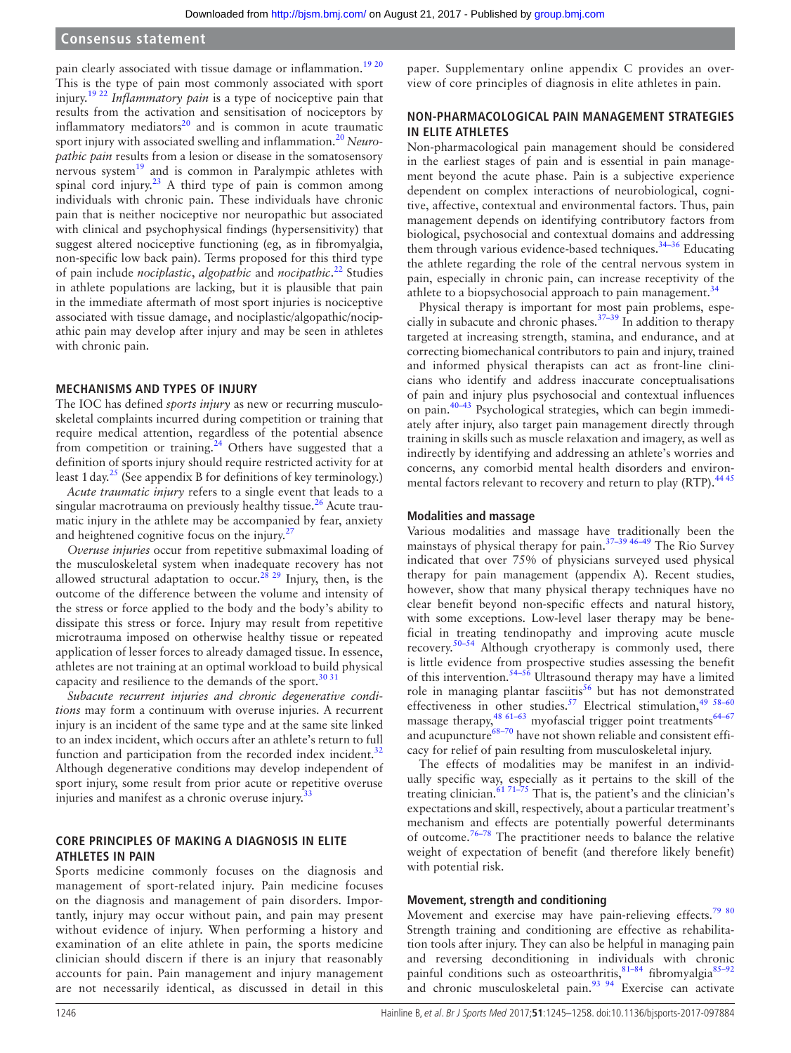pain clearly associated with tissue damage or inflammation.<sup>19 20</sup> This is the type of pain most commonly associated with sport injury[.19 22](#page-8-5) *Inflammatory pain* is a type of nociceptive pain that results from the activation and sensitisation of nociceptors by inflammatory mediators $20$  and is common in acute traumatic sport injury with associated swelling and inflammation.<sup>[20](#page-8-6)</sup> Neuro*pathic pain* results from a lesion or disease in the somatosensory nervous system<sup>19</sup> and is common in Paralympic athletes with spinal cord injury.<sup>23</sup> A third type of pain is common among individuals with chronic pain. These individuals have chronic pain that is neither nociceptive nor neuropathic but associated with clinical and psychophysical findings (hypersensitivity) that suggest altered nociceptive functioning (eg, as in fibromyalgia, non-specific low back pain). Terms proposed for this third type of pain include *nociplastic*, *algopathic* and *nocipathic*. [22](#page-8-8) Studies in athlete populations are lacking, but it is plausible that pain in the immediate aftermath of most sport injuries is nociceptive associated with tissue damage, and nociplastic/algopathic/nocipathic pain may develop after injury and may be seen in athletes with chronic pain.

#### **Mechanisms and types of injury**

The IOC has defined *sports injury* as new or recurring musculoskeletal complaints incurred during competition or training that require medical attention, regardless of the potential absence from competition or training.<sup>24</sup> Others have suggested that a definition of sports injury should require restricted activity for at least 1day.[25](#page-9-1) (See appendix B for definitions of key terminology.)

*Acute traumatic injury* refers to a single event that leads to a singular macrotrauma on previously healthy tissue.<sup>26</sup> Acute traumatic injury in the athlete may be accompanied by fear, anxiety and heightened cognitive focus on the injury. $27$ 

*Overuse injuries* occur from repetitive submaximal loading of the musculoskeletal system when inadequate recovery has not allowed structural adaptation to occur.<sup>28</sup> <sup>29</sup> Injury, then, is the outcome of the difference between the volume and intensity of the stress or force applied to the body and the body's ability to dissipate this stress or force. Injury may result from repetitive microtrauma imposed on otherwise healthy tissue or repeated application of lesser forces to already damaged tissue. In essence, athletes are not training at an optimal workload to build physical capacity and resilience to the demands of the sport. $3031$ 

*Subacute recurrent injuries and chronic degenerative conditions* may form a continuum with overuse injuries. A recurrent injury is an incident of the same type and at the same site linked to an index incident, which occurs after an athlete's return to full function and participation from the recorded index incident.<sup>[32](#page-9-6)</sup> Although degenerative conditions may develop independent of sport injury, some result from prior acute or repetitive overuse injuries and manifest as a chronic overuse injury.<sup>3</sup>

## **Core principles of making a diagnosis in elite at hletes in pain**

Sports medicine commonly focuses on the diagnosis and management of sport-related injury. Pain medicine focuses on the diagnosis and management of pain disorders. Importantly, injury may occur without pain, and pain may present without evidence of injury. When performing a history and examination of an elite athlete in pain, the sports medicine clinician should discern if there is an injury that reasonably accounts for pain. Pain management and injury management are not necessarily identical, as discussed in detail in this

paper. Supplementary [online appendix C](https://dx.doi.org/10.1136/bjsports-2017-097884) provides an overview of core principles of diagnosis in elite athletes in pain.

## **Non-pharmacological pain management strategies in elite athletes**

Non-pharmacological pain management should be considered in the earliest stages of pain and is essential in pain management beyond the acute phase. Pain is a subjective experience dependent on complex interactions of neurobiological, cognitive, affective, contextual and environmental factors. Thus, pain management depends on identifying contributory factors from biological, psychosocial and contextual domains and addressing them through various evidence-based techniques. $34-36$  Educating the athlete regarding the role of the central nervous system in pain, especially in chronic pain, can increase receptivity of the athlete to a biopsychosocial approach to pain management.<sup>3</sup>

Physical therapy is important for most pain problems, especially in subacute and chronic phases[.37–39](#page-9-9) In addition to therapy targeted at increasing strength, stamina, and endurance, and at correcting biomechanical contributors to pain and injury, trained and informed physical therapists can act as front-line clinicians who identify and address inaccurate conceptualisations of pain and injury plus psychosocial and contextual influences on pain[.40–43](#page-9-10) Psychological strategies, which can begin immediately after injury, also target pain management directly through training in skills such as muscle relaxation and imagery, as well as indirectly by identifying and addressing an athlete's worries and concerns, any comorbid mental health disorders and environmental factors relevant to recovery and return to play (RTP).<sup>4445</sup>

#### **Modalities and massage**

Various modalities and massage have traditionally been the mainstays of physical therapy for pain.[37–39 46–49](#page-9-9) The Rio Survey indicated that over 75% of physicians surveyed used physical therapy for pain management (appendix A). Recent studies, however, show that many physical therapy techniques have no clear benefit beyond non-specific effects and natural history, with some exceptions. Low-level laser therapy may be beneficial in treating tendinopathy and improving acute muscle recovery[.50–54](#page-9-12) Although cryotherapy is commonly used, there is little evidence from prospective studies assessing the benefit of this intervention.<sup>54–56</sup> Ultrasound therapy may have a limited role in managing plantar fasciitis<sup>56</sup> but has not demonstrated effectiveness in other studies.<sup>[57](#page-9-15)</sup> Electrical stimulation,<sup>49 58-60</sup> massage therapy,  $4861-63$  myofascial trigger point treatments  $64-67$  $\frac{1}{2}$  and acupuncture<sup>68–70</sup> have not shown reliable and consistent efficacy for relief of pain resulting from musculoskeletal injury.

The effects of modalities may be manifest in an individually specific way, especially as it pertains to the skill of the treating clinician.  $6171-75$  That is, the patient's and the clinician's expectations and skill, respectively, about a particular treatment's mechanism and effects are potentially powerful determinants of outcome[.76–78](#page-9-21) The practitioner needs to balance the relative weight of expectation of benefit (and therefore likely benefit) with potential risk.

#### **Movement, strength and conditioning**

Movement and exercise may have pain-relieving effects.<sup>[79 80](#page-9-22)</sup> Strength training and conditioning are effective as rehabilitation tools after injury. They can also be helpful in managing pain and reversing deconditioning in individuals with chronic painful conditions such as osteoarthritis, 81-84 fibromyalgia<sup>85-92</sup> and chronic musculoskeletal pain.<sup>93 94</sup> Exercise can activate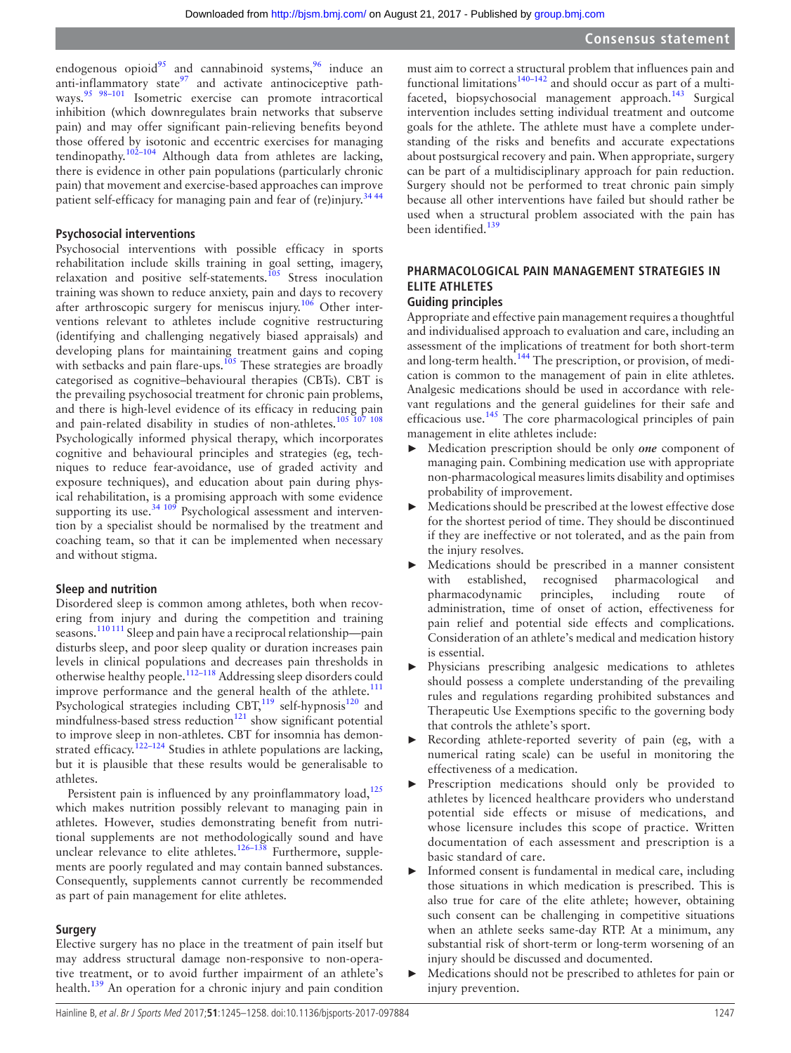endogenous opioid<sup>[95](#page-10-2)</sup> and cannabinoid systems,  $96$  induce an anti-inflammatory state<sup>[97](#page-10-4)</sup> and activate antinociceptive pathways.<sup>95 98-101</sup> Isometric exercise can promote intracortical inhibition (which downregulates brain networks that subserve pain) and may offer significant pain-relieving benefits beyond those offered by isotonic and eccentric exercises for managing tendinopathy.<sup>102–104</sup> Although data from athletes are lacking, there is evidence in other pain populations (particularly chronic pain) that movement and exercise-based approaches can improve patient self-efficacy for managing pain and fear of (re)injury.<sup>3444</sup>

## **Psychosocial interventions**

Psychosocial interventions with possible efficacy in sports rehabilitation include skills training in goal setting, imagery, relaxation and positive self-statements.<sup>[105](#page-10-6)</sup> Stress inoculation training was shown to reduce anxiety, pain and days to recovery after arthroscopic surgery for meniscus injury.<sup>106</sup> Other interventions relevant to athletes include cognitive restructuring (identifying and challenging negatively biased appraisals) and developing plans for maintaining treatment gains and coping with setbacks and pain flare-ups.<sup>[105](#page-10-6)</sup> These strategies are broadly categorised as cognitive–behavioural therapies (CBTs). CBT is the prevailing psychosocial treatment for chronic pain problems, and there is high-level evidence of its efficacy in reducing pain and pain-related disability in studies of non-athletes.<sup>105 1</sup> Psychologically informed physical therapy, which incorporates cognitive and behavioural principles and strategies (eg, techniques to reduce fear-avoidance, use of graded activity and exposure techniques), and education about pain during physical rehabilitation, is a promising approach with some evidence supporting its use.<sup>[34 109](#page-9-8)</sup> Psychological assessment and intervention by a specialist should be normalised by the treatment and coaching team, so that it can be implemented when necessary and without stigma.

## **Sleep and nutrition**

Disordered sleep is common among athletes, both when recovering from injury and during the competition and training seasons.<sup>110 111</sup> Sleep and pain have a reciprocal relationship—pain disturbs sleep, and poor sleep quality or duration increases pain levels in clinical populations and decreases pain thresholds in otherwise healthy people.[112–118](#page-10-9) Addressing sleep disorders could improve performance and the general health of the athlete.<sup>[111](#page-10-10)</sup> Psychological strategies including CBT, $^{119}$  self-hypnosis<sup>120</sup> and mindfulness-based stress reduction<sup>[121](#page-10-13)</sup> show significant potential to improve sleep in non-athletes. CBT for insomnia has demonstrated efficacy.<sup>122-124</sup> Studies in athlete populations are lacking, but it is plausible that these results would be generalisable to athletes.

Persistent pain is influenced by any proinflammatory  $load$ ,  $^{125}$  $^{125}$  $^{125}$ which makes nutrition possibly relevant to managing pain in athletes. However, studies demonstrating benefit from nutritional supplements are not methodologically sound and have unclear relevance to elite athletes.<sup>126–138</sup> Furthermore, supplements are poorly regulated and may contain banned substances. Consequently, supplements cannot currently be recommended as part of pain management for elite athletes.

#### **Surgery**

Elective surgery has no place in the treatment of pain itself but may address structural damage non-responsive to non-operative treatment, or to avoid further impairment of an athlete's health.<sup>139</sup> An operation for a chronic injury and pain condition

must aim to correct a structural problem that influences pain and functional limitations<sup>140–142</sup> and should occur as part of a multifaceted, biopsychosocial management approach.<sup>143</sup> Surgical intervention includes setting individual treatment and outcome goals for the athlete. The athlete must have a complete understanding of the risks and benefits and accurate expectations about postsurgical recovery and pain. When appropriate, surgery can be part of a multidisciplinary approach for pain reduction. Surgery should not be performed to treat chronic pain simply because all other interventions have failed but should rather be used when a structural problem associated with the pain has been identified.[139](#page-10-17)

## **Pharmacological pain management strategies in elite athletes**

**Guiding principles**

Appropriate and effective pain management requires a thoughtful and individualised approach to evaluation and care, including an assessment of the implications of treatment for both short-term and long-term health.<sup>[144](#page-10-20)</sup> The prescription, or provision, of medication is common to the management of pain in elite athletes. Analgesic medications should be used in accordance with relevant regulations and the general guidelines for their safe and efficacious use. $145$  The core pharmacological principles of pain management in elite athletes include:

- ► Medication prescription should be only *one* component of managing pain. Combining medication use with appropriate non-pharmacological measures limits disability and optimises probability of improvement.
- Medications should be prescribed at the lowest effective dose for the shortest period of time. They should be discontinued if they are ineffective or not tolerated, and as the pain from the injury resolves.
- Medications should be prescribed in a manner consistent with established, recognised pharmacological and pharmacodynamic principles, including route of administration, time of onset of action, effectiveness for pain relief and potential side effects and complications. Consideration of an athlete's medical and medication history is essential.
- Physicians prescribing analgesic medications to athletes should possess a complete understanding of the prevailing rules and regulations regarding prohibited substances and Therapeutic Use Exemptions specific to the governing body that controls the athlete's sport.
- Recording athlete-reported severity of pain (eg, with a numerical rating scale) can be useful in monitoring the effectiveness of a medication.
- Prescription medications should only be provided to athletes by licenced healthcare providers who understand potential side effects or misuse of medications, and whose licensure includes this scope of practice. Written documentation of each assessment and prescription is a basic standard of care.
- Informed consent is fundamental in medical care, including those situations in which medication is prescribed. This is also true for care of the elite athlete; however, obtaining such consent can be challenging in competitive situations when an athlete seeks same-day RTP. At a minimum, any substantial risk of short-term or long-term worsening of an injury should be discussed and documented.
- Medications should not be prescribed to athletes for pain or injury prevention.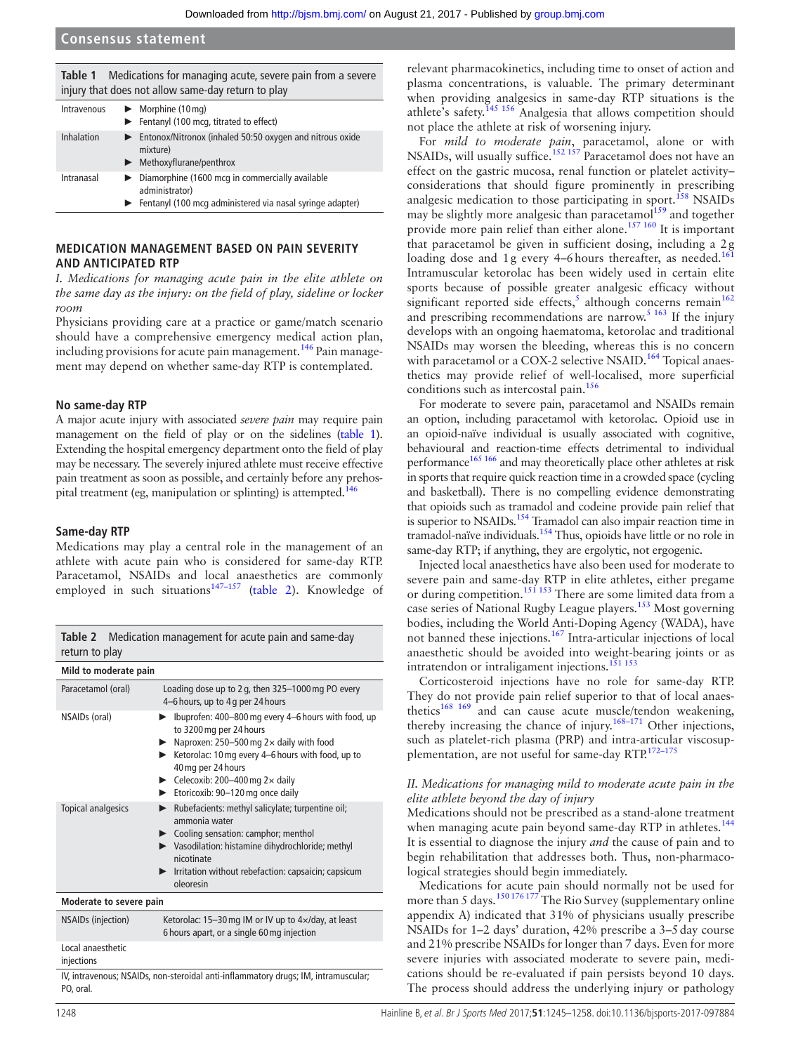<span id="page-3-0"></span>

|             | <b>Table 1</b> Medications for managing acute, severe pain from a severe<br>injury that does not allow same-day return to play |
|-------------|--------------------------------------------------------------------------------------------------------------------------------|
| Intravenous | $\blacktriangleright$ Morphine (10 mg)<br>$\blacktriangleright$ Fentanyl (100 mcg, titrated to effect)                         |
| Inhalation  | Entonox/Nitronox (inhaled 50:50 oxygen and nitrous oxide<br>mixture)<br>$\blacktriangleright$ Methoxyflurane/penthrox          |
| Intranasal  | Diamorphine (1600 mcg in commercially available<br>administrator)<br>Fentanyl (100 mcg administered via nasal syringe adapter) |

## **Medication management based on pain severity and anticipated RTP**

*I. Medications for managing acute pain in the elite athlete on the same day as the injury: on the field of play, sideline or locker room*

Physicians providing care at a practice or game/match scenario should have a comprehensive emergency medical action plan, including provisions for acute pain management.<sup>146</sup> Pain management may depend on whether same-day RTP is contemplated.

#### **No same-day RTP**

A major acute injury with associated *severe pain* may require pain management on the field of play or on the sidelines [\(table](#page-3-0) 1). Extending the hospital emergency department onto the field of play may be necessary. The severely injured athlete must receive effective pain treatment as soon as possible, and certainly before any prehospital treatment (eg, manipulation or splinting) is attempted.<sup>1</sup>

#### **Same-day RTP**

Medications may play a central role in the management of an athlete with acute pain who is considered for same-day RTP. Paracetamol, NSAIDs and local anaesthetics are commonly employed in such situations<sup>147–157</sup> [\(table](#page-3-1) 2). Knowledge of

<span id="page-3-1"></span>

| <b>Table 2</b> Medication management for acute pain and same-day<br>return to play |                                                                                                                                                                                                                                                                                                    |
|------------------------------------------------------------------------------------|----------------------------------------------------------------------------------------------------------------------------------------------------------------------------------------------------------------------------------------------------------------------------------------------------|
| Mild to moderate pain                                                              |                                                                                                                                                                                                                                                                                                    |
| Paracetamol (oral)                                                                 | Loading dose up to 2 g, then $325-1000$ mg PO every<br>4–6 hours, up to 4 g per 24 hours                                                                                                                                                                                                           |
| NSAIDs (oral)                                                                      | Ibuprofen: 400–800 mg every 4–6 hours with food, up<br>to 3200 mg per 24 hours<br>Naproxen: 250-500 mg $2 \times$ daily with food<br>Ketorolac: 10 mg every 4-6 hours with food, up to<br>40 mg per 24 hours<br>Example Celecoxib: 200-400 mg 2 $\times$ daily<br>Etoricoxib: 90-120 mg once daily |
| <b>Topical analgesics</b>                                                          | Rubefacients: methyl salicylate; turpentine oil;<br>ammonia water<br>Cooling sensation: camphor; menthol<br>▶ Vasodilation: histamine dihydrochloride; methyl<br>nicotinate<br>Irritation without rebefaction: capsaicin; capsicum<br>oleoresin                                                    |
| Moderate to severe pain                                                            |                                                                                                                                                                                                                                                                                                    |
| <b>NSAIDs</b> (injection)                                                          | Ketorolac: 15-30 mg IM or IV up to 4×/day, at least<br>6 hours apart, or a single 60 mg injection                                                                                                                                                                                                  |
| Local anaesthetic                                                                  |                                                                                                                                                                                                                                                                                                    |

injections

IV, intravenous; NSAIDs, non-steroidal anti-inflammatory drugs; IM, intramuscular; PO, oral.

relevant pharmacokinetics, including time to onset of action and plasma concentrations, is valuable. The primary determinant when providing analgesics in same-day RTP situations is the athlete's safety.<sup>145 156</sup> Analgesia that allows competition should not place the athlete at risk of worsening injury.

For *mild to moderate pain*, paracetamol, alone or with NSAIDs, will usually suffice.<sup>[152 157](#page-11-3)</sup> Paracetamol does not have an effect on the gastric mucosa, renal function or platelet activity– considerations that should figure prominently in prescribing analgesic medication to those participating in sport.<sup>[158](#page-11-4)</sup> NSAIDs may be slightly more analgesic than paracetamol<sup>159</sup> and together provide more pain relief than either alone.<sup>[157 160](#page-11-6)</sup> It is important that paracetamol be given in sufficient dosing, including a 2g loading dose and 1g every 4-6 hours thereafter, as needed.<sup>161</sup> Intramuscular ketorolac has been widely used in certain elite sports because of possible greater analgesic efficacy without significant reported side effects,<sup>[5](#page-8-2)</sup> although concerns remain<sup>162</sup> and prescribing recommendations are narrow.<sup>5 163</sup> If the injury develops with an ongoing haematoma, ketorolac and traditional NSAIDs may worsen the bleeding, whereas this is no concern with paracetamol or a COX-2 selective NSAID.<sup>164</sup> Topical anaesthetics may provide relief of well-localised, more superficial conditions such as intercostal pain.<sup>156</sup>

For moderate to severe pain, paracetamol and NSAIDs remain an option, including paracetamol with ketorolac. Opioid use in an opioid-naïve individual is usually associated with cognitive, behavioural and reaction-time effects detrimental to individual performance<sup>165</sup> 166 and may theoretically place other athletes at risk in sports that require quick reaction time in a crowded space (cycling and basketball). There is no compelling evidence demonstrating that opioids such as tramadol and codeine provide pain relief that is superior to NSAIDs.<sup>154</sup> Tramadol can also impair reaction time in tramadol-naïve individuals[.154](#page-11-12) Thus, opioids have little or no role in same-day RTP; if anything, they are ergolytic, not ergogenic.

Injected local anaesthetics have also been used for moderate to severe pain and same-day RTP in elite athletes, either pregame or during competition.<sup>151 153</sup> There are some limited data from a case series of National Rugby League players.<sup>153</sup> Most governing bodies, including the World Anti-Doping Agency (WADA), have not banned these injections.[167](#page-11-15) Intra-articular injections of local anaesthetic should be avoided into weight-bearing joints or as intratendon or intraligament injections.[151 153](#page-11-13)

Corticosteroid injections have no role for same-day RTP. They do not provide pain relief superior to that of local anaesthetics<sup>168</sup> <sup>169</sup> and can cause acute muscle/tendon weakening, thereby increasing the chance of injury.<sup>168-171</sup> Other injections, such as platelet-rich plasma (PRP) and intra-articular viscosup-plementation, are not useful for same-day RTP.<sup>[172–175](#page-11-17)</sup>

## *II. Medications for managing mild to moderate acute pain in the elite athlete beyond the day of injury*

Medications should not be prescribed as a stand-alone treatment when managing acute pain beyond same-day RTP in athletes.<sup>144</sup> It is essential to diagnose the injury *and* the cause of pain and to begin rehabilitation that addresses both. Thus, non-pharmacological strategies should begin immediately.

Medications for acute pain should normally not be used for more than 5 days.<sup>150 176 177</sup> The Rio Survey (supplementary [online](https://dx.doi.org/10.1136/bjsports-2017-097884) [appendix A\)](https://dx.doi.org/10.1136/bjsports-2017-097884) indicated that 31% of physicians usually prescribe NSAIDs for 1–2 days' duration, 42% prescribe a 3–5day course and 21% prescribe NSAIDs for longer than 7 days. Even for more severe injuries with associated moderate to severe pain, medications should be re-evaluated if pain persists beyond 10 days. The process should address the underlying injury or pathology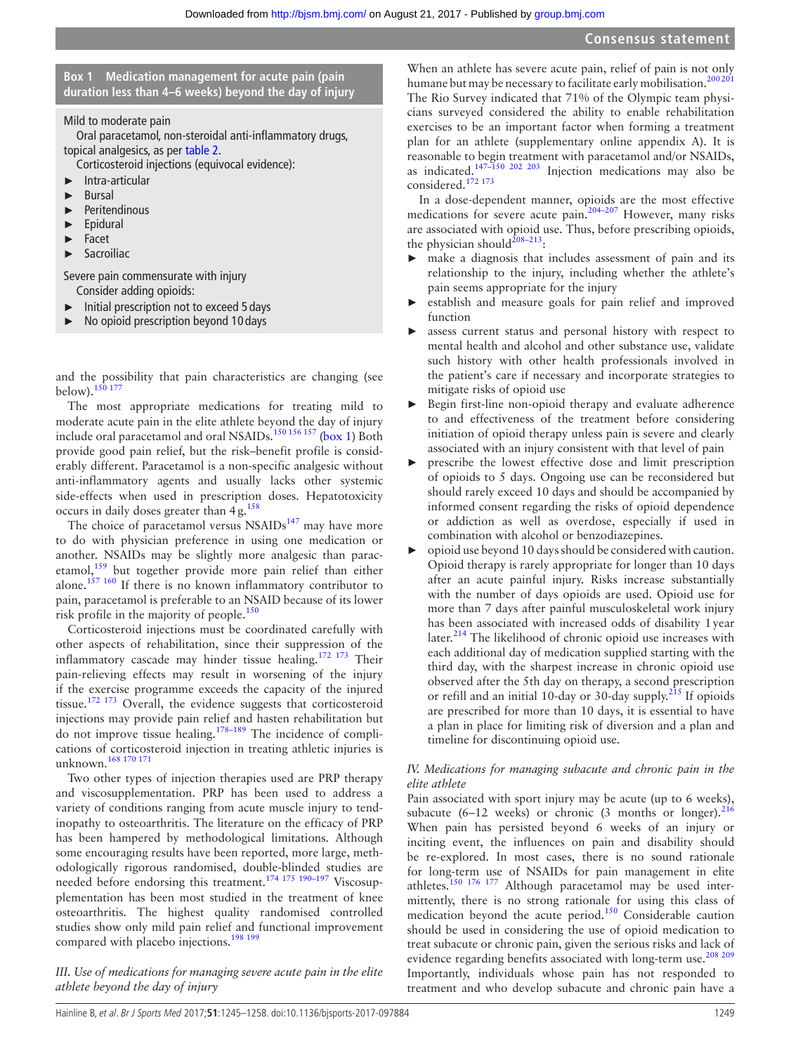## **Box 1 Medication management for acute pain (pain duration less than 4–6 weeks) beyond the day of injury**

<span id="page-4-0"></span>Mild to moderate pain

Oral paracetamol, non-steroidal anti-inflammatory drugs, topical analgesics, as per [table 2.](#page-3-1)

- Corticosteroid injections (equivocal evidence):
- ► Intra-articular
- **Bursal**
- **Peritendinous**
- ► Epidural
- ► Facet
- ► Sacroiliac

Severe pain commensurate with injury Consider adding opioids:

- Initial prescription not to exceed 5 days
- No opioid prescription beyond 10 days

and the possibility that pain characteristics are changing (see below).[150 177](#page-11-18)

The most appropriate medications for treating mild to moderate acute pain in the elite athlete beyond the day of injury include oral paracetamol and oral NSAIDs.<sup>[150 156 157](#page-11-18)</sup> ([box](#page-4-0) 1) Both provide good pain relief, but the risk–benefit profile is considerably different. Paracetamol is a non-specific analgesic without anti-inflammatory agents and usually lacks other systemic side-effects when used in prescription doses. Hepatotoxicity occurs in daily doses greater than  $4g^{158}$  $4g^{158}$  $4g^{158}$ 

The choice of paracetamol versus  $NSAIDs<sup>147</sup>$  may have more to do with physician preference in using one medication or another. NSAIDs may be slightly more analgesic than paracetamol,<sup>159</sup> but together provide more pain relief than either alone.<sup>157 160</sup> If there is no known inflammatory contributor to pain, paracetamol is preferable to an NSAID because of its lower risk profile in the majority of people.<sup>150</sup>

Corticosteroid injections must be coordinated carefully with other aspects of rehabilitation, since their suppression of the inflammatory cascade may hinder tissue healing.[172 173](#page-11-17) Their pain-relieving effects may result in worsening of the injury if the exercise programme exceeds the capacity of the injured tissue.[172 173](#page-11-17) Overall, the evidence suggests that corticosteroid injections may provide pain relief and hasten rehabilitation but do not improve tissue healing.[178–189](#page-11-19) The incidence of complications of corticosteroid injection in treating athletic injuries is unknown.[168 170 171](#page-11-16)

Two other types of injection therapies used are PRP therapy and viscosupplementation. PRP has been used to address a variety of conditions ranging from acute muscle injury to tendinopathy to osteoarthritis. The literature on the efficacy of PRP has been hampered by methodological limitations. Although some encouraging results have been reported, more large, methodologically rigorous randomised, double-blinded studies are needed before endorsing this treatment[.174 175 190–197](#page-11-20) Viscosupplementation has been most studied in the treatment of knee osteoarthritis. The highest quality randomised controlled studies show only mild pain relief and functional improvement compared with placebo injections.<sup>[198 199](#page-11-21)</sup>

*III. Use of medications for managing severe acute pain in the elite athlete beyond the day of injury*

When an athlete has severe acute pain, relief of pain is not only humane but may be necessary to facilitate early mobilisation.<sup>200 201</sup> The Rio Survey indicated that 71% of the Olympic team physicians surveyed considered the ability to enable rehabilitation exercises to be an important factor when forming a treatment plan for an athlete (supplementary [online appendix](https://dx.doi.org/10.1136/bjsports-2017-097884) A). It is reasonable to begin treatment with paracetamol and/or NSAIDs, as indicated.[147–150 202 203](#page-11-2) Injection medications may also be considered.[172 173](#page-11-17)

In a dose-dependent manner, opioids are the most effective medications for severe acute pain.<sup>204–207</sup> However, many risks are associated with opioid use. Thus, before prescribing opioids, the physician should $208-213$ :

- make a diagnosis that includes assessment of pain and its relationship to the injury, including whether the athlete's pain seems appropriate for the injury
- establish and measure goals for pain relief and improved function
- assess current status and personal history with respect to mental health and alcohol and other substance use, validate such history with other health professionals involved in the patient's care if necessary and incorporate strategies to mitigate risks of opioid use
- Begin first-line non-opioid therapy and evaluate adherence to and effectiveness of the treatment before considering initiation of opioid therapy unless pain is severe and clearly associated with an injury consistent with that level of pain
- prescribe the lowest effective dose and limit prescription of opioids to 5 days. Ongoing use can be reconsidered but should rarely exceed 10 days and should be accompanied by informed consent regarding the risks of opioid dependence or addiction as well as overdose, especially if used in combination with alcohol or benzodiazepines.
- opioid use beyond 10 days should be considered with caution. Opioid therapy is rarely appropriate for longer than 10 days after an acute painful injury. Risks increase substantially with the number of days opioids are used. Opioid use for more than 7 days after painful musculoskeletal work injury has been associated with increased odds of disability 1year later.<sup>[214](#page-12-0)</sup> The likelihood of chronic opioid use increases with each additional day of medication supplied starting with the third day, with the sharpest increase in chronic opioid use observed after the 5th day on therapy, a second prescription or refill and an initial 10-day or 30-day supply.<sup>215</sup> If opioids are prescribed for more than 10 days, it is essential to have a plan in place for limiting risk of diversion and a plan and timeline for discontinuing opioid use.

#### *IV. Medications for managing subacute and chronic pain in the elite athlete*

Pain associated with sport injury may be acute (up to 6 weeks), subacute (6-12 weeks) or chronic (3 months or longer). $^{216}$  $^{216}$  $^{216}$ When pain has persisted beyond 6 weeks of an injury or inciting event, the influences on pain and disability should be re-explored. In most cases, there is no sound rationale for long-term use of NSAIDs for pain management in elite athletes.<sup>[150 176 177](#page-11-18)</sup> Although paracetamol may be used intermittently, there is no strong rationale for using this class of medication beyond the acute period.[150](#page-11-18) Considerable caution should be used in considering the use of opioid medication to treat subacute or chronic pain, given the serious risks and lack of evidence regarding benefits associated with long-term use.<sup>[208 209](#page-11-24)</sup> Importantly, individuals whose pain has not responded to treatment and who develop subacute and chronic pain have a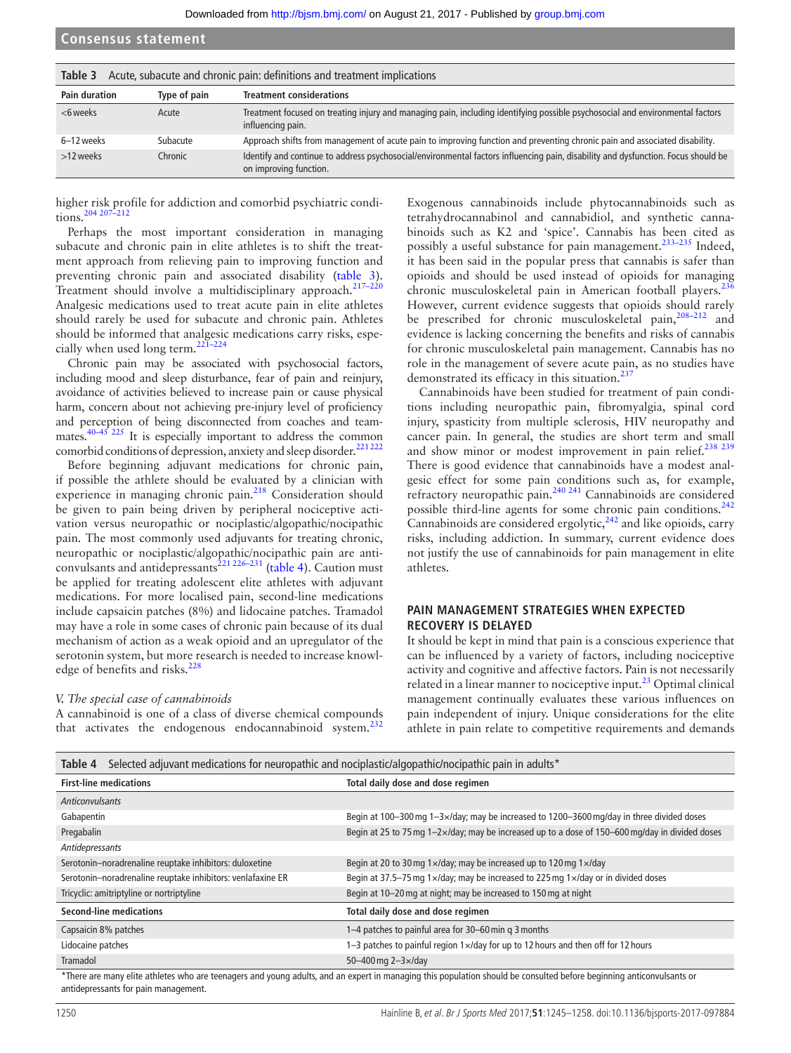| <b>Consensus statement</b> |  |
|----------------------------|--|
|                            |  |

<span id="page-5-0"></span>

| Acute, subacute and chronic pain: definitions and treatment implications<br>Table 3 |              |                                                                                                                                                             |
|-------------------------------------------------------------------------------------|--------------|-------------------------------------------------------------------------------------------------------------------------------------------------------------|
| <b>Pain duration</b>                                                                | Type of pain | <b>Treatment considerations</b>                                                                                                                             |
| <6 weeks                                                                            | Acute        | Treatment focused on treating injury and managing pain, including identifying possible psychosocial and environmental factors<br>influencing pain.          |
| 6–12 weeks                                                                          | Subacute     | Approach shifts from management of acute pain to improving function and preventing chronic pain and associated disability.                                  |
| >12 weeks                                                                           | Chronic      | Identify and continue to address psychosocial/environmental factors influencing pain, disability and dysfunction. Focus should be<br>on improving function. |

higher risk profile for addiction and comorbid psychiatric conditions.<sup>204</sup> 207-212

Perhaps the most important consideration in managing subacute and chronic pain in elite athletes is to shift the treatment approach from relieving pain to improving function and preventing chronic pain and associated disability ([table](#page-5-0) 3). Treatment should involve a multidisciplinary approach.<sup>217-220</sup> Analgesic medications used to treat acute pain in elite athletes should rarely be used for subacute and chronic pain. Athletes should be informed that analgesic medications carry risks, especially when used long term. $22\overline{1}$ -224

Chronic pain may be associated with psychosocial factors, including mood and sleep disturbance, fear of pain and reinjury, avoidance of activities believed to increase pain or cause physical harm, concern about not achieving pre-injury level of proficiency and perception of being disconnected from coaches and teammates.<sup>40–45</sup><sup>225</sup> It is especially important to address the common comorbid conditions of depression, anxiety and sleep disorder.<sup>221 222</sup>

Before beginning adjuvant medications for chronic pain, if possible the athlete should be evaluated by a clinician with experience in managing chronic pain.<sup>218</sup> Consideration should be given to pain being driven by peripheral nociceptive activation versus neuropathic or nociplastic/algopathic/nocipathic pain. The most commonly used adjuvants for treating chronic, neuropathic or nociplastic/algopathic/nocipathic pain are anti-convulsants and antidepressants<sup>[221 226–231](#page-12-4)</sup> [\(table](#page-5-1) 4). Caution must be applied for treating adolescent elite athletes with adjuvant medications. For more localised pain, second-line medications include capsaicin patches (8%) and lidocaine patches. Tramadol may have a role in some cases of chronic pain because of its dual mechanism of action as a weak opioid and an upregulator of the serotonin system, but more research is needed to increase knowl-edge of benefits and risks.<sup>[228](#page-12-6)</sup>

#### *V. The special case of cannabinoids*

A cannabinoid is one of a class of diverse chemical compounds that activates the endogenous endocannabinoid system. $232$ 

Exogenous cannabinoids include phytocannabinoids such as tetrahydrocannabinol and cannabidiol, and synthetic cannabinoids such as K2 and 'spice'. Cannabis has been cited as possibly a useful substance for pain management.<sup>[233–235](#page-12-8)</sup> Indeed, it has been said in the popular press that cannabis is safer than opioids and should be used instead of opioids for managing chronic musculoskeletal pain in American football players.<sup>236</sup> However, current evidence suggests that opioids should rarely be prescribed for chronic musculoskeletal pain,  $208-212$  and evidence is lacking concerning the benefits and risks of cannabis for chronic musculoskeletal pain management. Cannabis has no role in the management of severe acute pain, as no studies have demonstrated its efficacy in this situation.<sup>237</sup>

Cannabinoids have been studied for treatment of pain conditions including neuropathic pain, fibromyalgia, spinal cord injury, spasticity from multiple sclerosis, HIV neuropathy and cancer pain. In general, the studies are short term and small and show minor or modest improvement in pain relief.<sup>[238 239](#page-12-11)</sup> There is good evidence that cannabinoids have a modest analgesic effect for some pain conditions such as, for example, refractory neuropathic pain.<sup>[240 241](#page-12-12)</sup> Cannabinoids are considered possible third-line agents for some chronic pain conditions.<sup>242</sup> Cannabinoids are considered ergolytic, $242$  and like opioids, carry risks, including addiction. In summary, current evidence does not justify the use of cannabinoids for pain management in elite athletes.

## **Pain management strategies when expected recovery is delayed**

It should be kept in mind that pain is a conscious experience that can be influenced by a variety of factors, including nociceptive activity and cognitive and affective factors. Pain is not necessarily related in a linear manner to nociceptive input.<sup>[23](#page-8-7)</sup> Optimal clinical management continually evaluates these various influences on pain independent of injury. Unique considerations for the elite athlete in pain relate to competitive requirements and demands

<span id="page-5-1"></span>

| Selected adjuvant medications for neuropathic and nociplastic/algopathic/nocipathic pain in adults*<br>Table 4 |                                                                                                                                                                     |  |  |
|----------------------------------------------------------------------------------------------------------------|---------------------------------------------------------------------------------------------------------------------------------------------------------------------|--|--|
| <b>First-line medications</b>                                                                                  | Total daily dose and dose regimen                                                                                                                                   |  |  |
| Anticonvulsants                                                                                                |                                                                                                                                                                     |  |  |
| Gabapentin                                                                                                     | Begin at 100-300 mg 1-3x/day; may be increased to 1200-3600 mg/day in three divided doses                                                                           |  |  |
| Pregabalin                                                                                                     | Begin at 25 to 75 mg 1-2x/day; may be increased up to a dose of 150-600 mg/day in divided doses                                                                     |  |  |
| Antidepressants                                                                                                |                                                                                                                                                                     |  |  |
| Serotonin-noradrenaline reuptake inhibitors: duloxetine                                                        | Begin at 20 to 30 mg $1 \times$ /day; may be increased up to 120 mg $1 \times$ /day                                                                                 |  |  |
| Serotonin-noradrenaline reuptake inhibitors: venlafaxine ER                                                    | Begin at 37.5-75 mg 1x/day; may be increased to 225 mg 1x/day or in divided doses                                                                                   |  |  |
| Tricyclic: amitriptyline or nortriptyline                                                                      | Begin at 10-20 mg at night; may be increased to 150 mg at night                                                                                                     |  |  |
| <b>Second-line medications</b>                                                                                 | Total daily dose and dose regimen                                                                                                                                   |  |  |
| Capsaicin 8% patches                                                                                           | 1-4 patches to painful area for 30-60 min q 3 months                                                                                                                |  |  |
| Lidocaine patches                                                                                              | 1-3 patches to painful region 1x/day for up to 12 hours and then off for 12 hours                                                                                   |  |  |
| Tramadol                                                                                                       | 50-400 mg $2 - 3 \times$ /day                                                                                                                                       |  |  |
|                                                                                                                | *There are many elite othletes who are teappears and veups adults, and an overstip managing this population should be separated before beginning anticonvulsants or |  |  |

There are many elite athletes who are teenagers and young adults, and an expert in managing this population should be consulted before beginning anticonvulsants or antidepressants for pain management.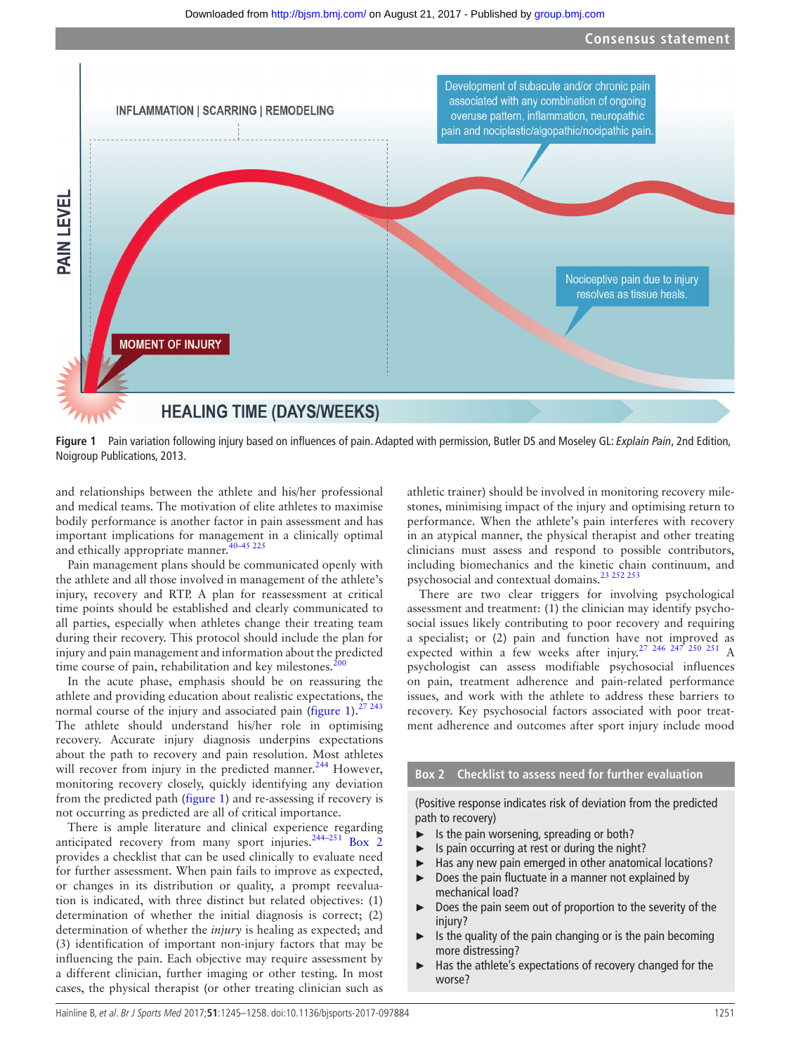

<span id="page-6-0"></span>**Figure 1** Pain variation following injury based on influences of pain. Adapted with permission, Butler DS and Moseley GL: *Explain Pain*, 2nd Edition, Noigroup Publications, 2013.

and relationships between the athlete and his/her professional and medical teams. The motivation of elite athletes to maximise bodily performance is another factor in pain assessment and has important implications for management in a clinically optimal and ethically appropriate manner.<sup>40-45</sup> 225

Pain management plans should be communicated openly with the athlete and all those involved in management of the athlete's injury, recovery and RTP. A plan for reassessment at critical time points should be established and clearly communicated to all parties, especially when athletes change their treating team during their recovery. This protocol should include the plan for injury and pain management and information about the predicted time course of pain, rehabilitation and key milestones. $^{200}$  $^{200}$  $^{200}$ 

In the acute phase, emphasis should be on reassuring the athlete and providing education about realistic expectations, the normal course of the injury and associated pain ([figure](#page-6-0) 1). $27 243$ The athlete should understand his/her role in optimising recovery. Accurate injury diagnosis underpins expectations about the path to recovery and pain resolution. Most athletes will recover from injury in the predicted manner.<sup>244</sup> However, monitoring recovery closely, quickly identifying any deviation from the predicted path ([figure](#page-6-0) 1) and re-assessing if recovery is not occurring as predicted are all of critical importance.

There is ample literature and clinical experience regarding anticipated recovery from many sport injuries.<sup>[244–251](#page-12-14)</sup> [Box 2](#page-6-1) provides a checklist that can be used clinically to evaluate need for further assessment. When pain fails to improve as expected, or changes in its distribution or quality, a prompt reevaluation is indicated, with three distinct but related objectives: (1) determination of whether the initial diagnosis is correct; (2) determination of whether the *injury* is healing as expected; and (3) identification of important non-injury factors that may be influencing the pain. Each objective may require assessment by a different clinician, further imaging or other testing. In most cases, the physical therapist (or other treating clinician such as

athletic trainer) should be involved in monitoring recovery milestones, minimising impact of the injury and optimising return to performance. When the athlete's pain interferes with recovery in an atypical manner, the physical therapist and other treating clinicians must assess and respond to possible contributors, including biomechanics and the kinetic chain continuum, and psychosocial and contextual domains[.23 252 253](#page-8-7)

There are two clear triggers for involving psychological assessment and treatment: (1) the clinician may identify psychosocial issues likely contributing to poor recovery and requiring a specialist; or (2) pain and function have not improved as expected within a few weeks after injury.<sup>27 246 247</sup> 250 251 A psychologist can assess modifiable psychosocial influences on pain, treatment adherence and pain-related performance issues, and work with the athlete to address these barriers to recovery. Key psychosocial factors associated with poor treatment adherence and outcomes after sport injury include mood

## **Box 2 Checklist to assess need for further evaluation**

<span id="page-6-1"></span>(Positive response indicates risk of deviation from the predicted path to recovery)

- ► Is the pain worsening, spreading or both?
- ► Is pain occurring at rest or during the night?
- ► Has any new pain emerged in other anatomical locations?
- ► Does the pain fluctuate in a manner not explained by mechanical load?
- ► Does the pain seem out of proportion to the severity of the injury?
- $\blacktriangleright$  Is the quality of the pain changing or is the pain becoming more distressing?
- ► Has the athlete's expectations of recovery changed for the worse?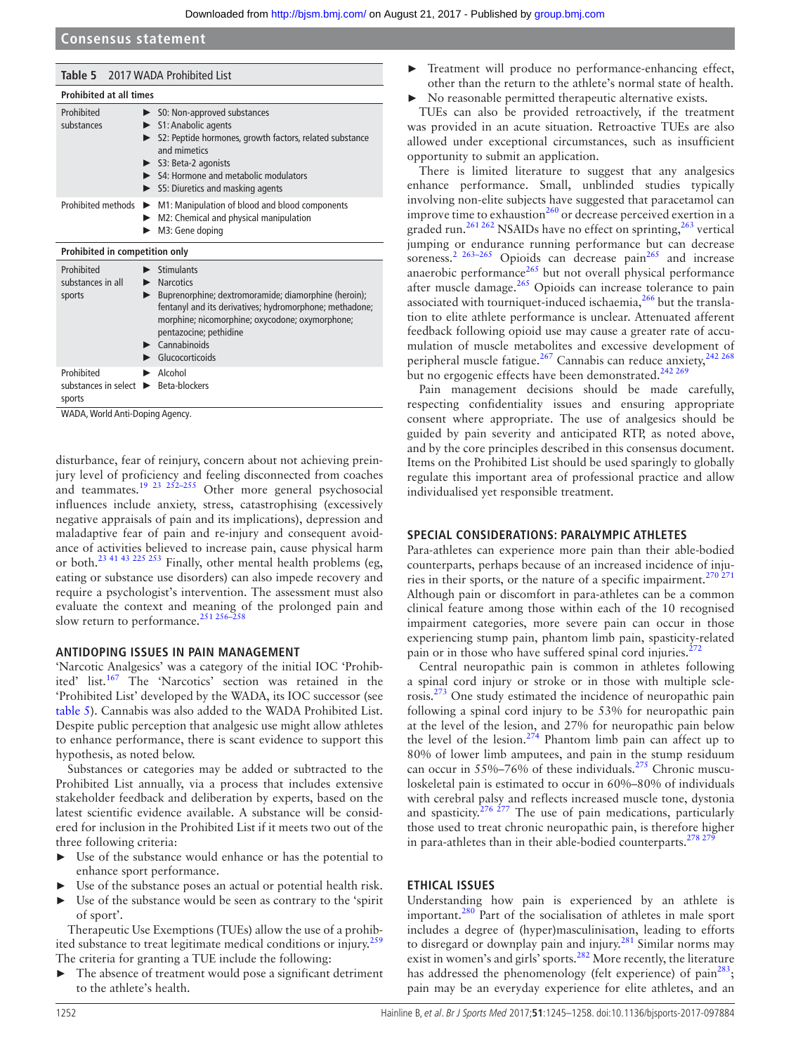|                                | <b>Table 5</b> 2017 WADA Prohibited List                                                                                                                                                                                                                                                                              |  |
|--------------------------------|-----------------------------------------------------------------------------------------------------------------------------------------------------------------------------------------------------------------------------------------------------------------------------------------------------------------------|--|
| <b>Prohibited at all times</b> |                                                                                                                                                                                                                                                                                                                       |  |
| Prohibited<br>substances       | $\triangleright$ S0: Non-approved substances<br>$\triangleright$ S1: Anabolic agents<br>S2: Peptide hormones, growth factors, related substance<br>and mimetics<br>$\triangleright$ S3: Beta-2 agonists<br>$\triangleright$ S4: Hormone and metabolic modulators<br>$\triangleright$ S5: Diuretics and masking agents |  |
| Prohibited methods             | • M1: Manipulation of blood and blood components<br>$\triangleright$ M2: Chemical and physical manipulation<br>M3: Gene doping                                                                                                                                                                                        |  |
| Prohibited in competition only |                                                                                                                                                                                                                                                                                                                       |  |
| Prohibited                     | Stimulants                                                                                                                                                                                                                                                                                                            |  |

| substances in all                                            | $\blacktriangleright$ Narcotics                                                                                                                                                                                                                       |
|--------------------------------------------------------------|-------------------------------------------------------------------------------------------------------------------------------------------------------------------------------------------------------------------------------------------------------|
| sports                                                       | Buprenorphine; dextromoramide; diamorphine (heroin);<br>fentanyl and its derivatives; hydromorphone; methadone;<br>morphine; nicomorphine; oxycodone; oxymorphone;<br>pentazocine; pethidine<br>$\blacktriangleright$ Cannabinoids<br>Glucocorticoids |
| Prohibited<br>substances in select > Beta-blockers<br>sports | Alcohol                                                                                                                                                                                                                                               |

WADA, World Anti-Doping Agency.

disturbance, fear of reinjury, concern about not achieving preinjury level of proficiency and feeling disconnected from coaches and teammates.<sup>[19 23 252–255](#page-8-5)</sup> Other more general psychosocial influences include anxiety, stress, catastrophising (excessively negative appraisals of pain and its implications), depression and maladaptive fear of pain and re-injury and consequent avoidance of activities believed to increase pain, cause physical harm or both.[23 41 43 225 253](#page-8-7) Finally, other mental health problems (eg, eating or substance use disorders) can also impede recovery and require a psychologist's intervention. The assessment must also evaluate the context and meaning of the prolonged pain and slow return to performance.<sup>251 256</sup>

#### **Antidoping issues in pain management**

'Narcotic Analgesics' was a category of the initial IOC 'Prohibited' list.[167](#page-11-15) The 'Narcotics' section was retained in the 'Prohibited List' developed by the WADA, its IOC successor (see table 5). Cannabis was also added to the WADA Prohibited List. Despite public perception that analgesic use might allow athletes to enhance performance, there is scant evidence to support this hypothesis, as noted below.

Substances or categories may be added or subtracted to the Prohibited List annually, via a process that includes extensive stakeholder feedback and deliberation by experts, based on the latest scientific evidence available. A substance will be considered for inclusion in the Prohibited List if it meets two out of the three following criteria:

- ► Use of the substance would enhance or has the potential to enhance sport performance.
- ► Use of the substance poses an actual or potential health risk.
- ► Use of the substance would be seen as contrary to the 'spirit of sport'.

Therapeutic Use Exemptions (TUEs) allow the use of a prohib-ited substance to treat legitimate medical conditions or injury.<sup>[259](#page-12-16)</sup> The criteria for granting a TUE include the following:

The absence of treatment would pose a significant detriment to the athlete's health.

- Treatment will produce no performance-enhancing effect, other than the return to the athlete's normal state of health.
- No reasonable permitted therapeutic alternative exists.

TUEs can also be provided retroactively, if the treatment was provided in an acute situation. Retroactive TUEs are also allowed under exceptional circumstances, such as insufficient opportunity to submit an application.

There is limited literature to suggest that any analgesics enhance performance. Small, unblinded studies typically involving non-elite subjects have suggested that paracetamol can improve time to exhaustion<sup>260</sup> or decrease perceived exertion in a graded run.<sup>261 262</sup> NSAIDs have no effect on sprinting,<sup>263</sup> vertical jumping or endurance running performance but can decrease soreness.<sup>2</sup> <sup>263–265</sup> Opioids can decrease pain<sup>265</sup> and increase anaerobic performance<sup>265</sup> but not overall physical performance after muscle damage.<sup>265</sup> Opioids can increase tolerance to pain  $\frac{1}{2}$ associated with tourniquet-induced ischaemia, $\frac{266}{2}$  but the translation to elite athlete performance is unclear. Attenuated afferent feedback following opioid use may cause a greater rate of accumulation of muscle metabolites and excessive development of peripheral muscle fatigue.<sup>267</sup> Cannabis can reduce anxiety,<sup>[242 268](#page-12-13)</sup> but no ergogenic effects have been demonstrated.<sup>[242 269](#page-12-13)</sup>

Pain management decisions should be made carefully, respecting confidentiality issues and ensuring appropriate consent where appropriate. The use of analgesics should be guided by pain severity and anticipated RTP, as noted above, and by the core principles described in this consensus document. Items on the Prohibited List should be used sparingly to globally regulate this important area of professional practice and allow individualised yet responsible treatment.

## **Special considerations: Paralympic at hletes**

Para-athletes can experience more pain than their able-bodied counterparts, perhaps because of an increased incidence of inju-ries in their sports, or the nature of a specific impairment.<sup>[270 271](#page-12-23)</sup> Although pain or discomfort in para-athletes can be a common clinical feature among those within each of the 10 recognised impairment categories, more severe pain can occur in those experiencing stump pain, phantom limb pain, spasticity-related pain or in those who have suffered spinal cord injuries.<sup>[272](#page-12-24)</sup>

Central neuropathic pain is common in athletes following a spinal cord injury or stroke or in those with multiple sclerosis.<sup>273</sup> One study estimated the incidence of neuropathic pain following a spinal cord injury to be 53% for neuropathic pain at the level of the lesion, and 27% for neuropathic pain below the level of the lesion.<sup>[274](#page-12-26)</sup> Phantom limb pain can affect up to 80% of lower limb amputees, and pain in the stump residuum can occur in  $55\% - 76\%$  of these individuals.<sup>275</sup> Chronic musculoskeletal pain is estimated to occur in 60%–80% of individuals with cerebral palsy and reflects increased muscle tone, dystonia and spasticity. $276 277$  The use of pain medications, particularly those used to treat chronic neuropathic pain, is therefore higher in para-athletes than in their able-bodied counterparts.<sup>278</sup> 279

## **Ethical issues**

Understanding how pain is experienced by an athlete is important.[280](#page-13-2) Part of the socialisation of athletes in male sport includes a degree of (hyper)masculinisation, leading to efforts to disregard or downplay pain and injury.[281](#page-13-3) Similar norms may exist in women's and girls' sports.<sup>282</sup> More recently, the literature has addressed the phenomenology (felt experience) of pain<sup>283</sup>; pain may be an everyday experience for elite athletes, and an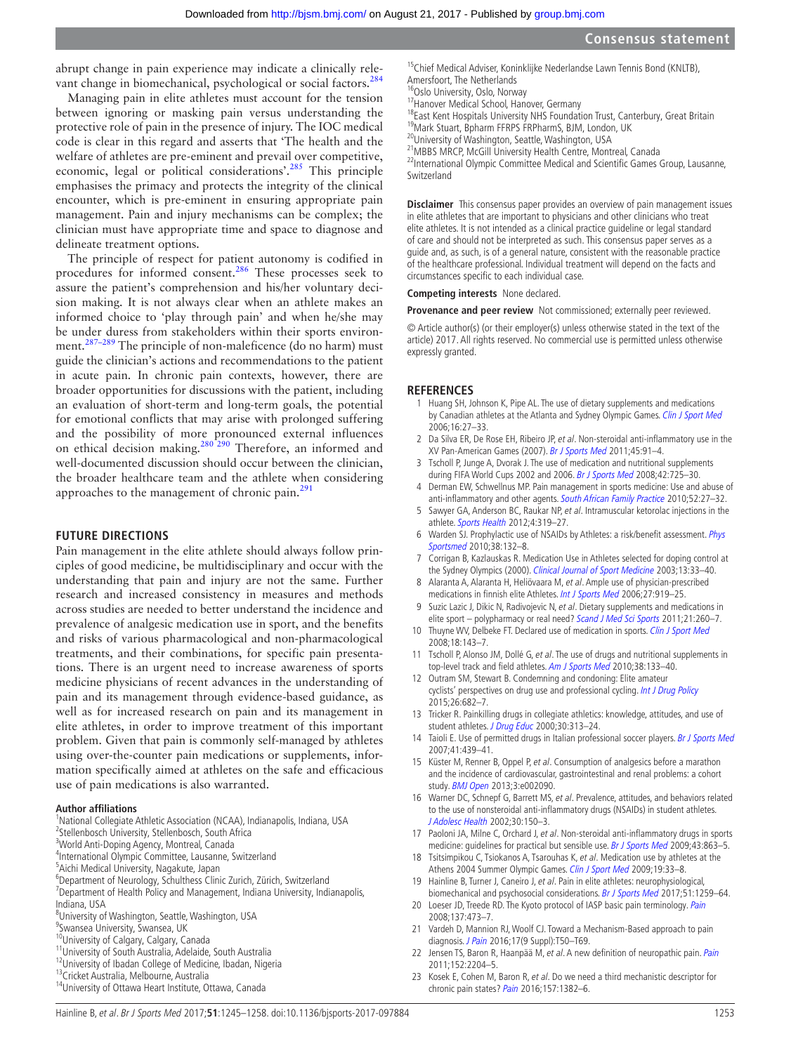abrupt change in pain experience may indicate a clinically rele-vant change in biomechanical, psychological or social factors.<sup>[284](#page-13-6)</sup>

Managing pain in elite athletes must account for the tension between ignoring or masking pain versus understanding the protective role of pain in the presence of injury. The IOC medical code is clear in this regard and asserts that 'The health and the welfare of athletes are pre-eminent and prevail over competitive, economic, legal or political considerations'.[285](#page-13-7) This principle emphasises the primacy and protects the integrity of the clinical encounter, which is pre-eminent in ensuring appropriate pain management. Pain and injury mechanisms can be complex; the clinician must have appropriate time and space to diagnose and delineate treatment options.

The principle of respect for patient autonomy is codified in procedures for informed consent.[286](#page-13-8) These processes seek to assure the patient's comprehension and his/her voluntary decision making. It is not always clear when an athlete makes an informed choice to 'play through pain' and when he/she may be under duress from stakeholders within their sports environment.<sup>287–289</sup> The principle of non-maleficence (do no harm) must guide the clinician's actions and recommendations to the patient in acute pain. In chronic pain contexts, however, there are broader opportunities for discussions with the patient, including an evaluation of short-term and long-term goals, the potential for emotional conflicts that may arise with prolonged suffering and the possibility of more pronounced external influences on ethical decision making[.280 290](#page-13-2) Therefore, an informed and well-documented discussion should occur between the clinician, the broader healthcare team and the athlete when considering approaches to the management of chronic pain.<sup>[291](#page-13-10)</sup>

#### **Future directions**

Pain management in the elite athlete should always follow principles of good medicine, be multidisciplinary and occur with the understanding that pain and injury are not the same. Further research and increased consistency in measures and methods across studies are needed to better understand the incidence and prevalence of analgesic medication use in sport, and the benefits and risks of various pharmacological and non-pharmacological treatments, and their combinations, for specific pain presentations. There is an urgent need to increase awareness of sports medicine physicians of recent advances in the understanding of pain and its management through evidence-based guidance, as well as for increased research on pain and its management in elite athletes, in order to improve treatment of this important problem. Given that pain is commonly self-managed by athletes using over-the-counter pain medications or supplements, information specifically aimed at athletes on the safe and efficacious use of pain medications is also warranted.

#### **Author affiliations**

- <sup>1</sup>National Collegiate Athletic Association (NCAA), Indianapolis, Indiana, USA
- 2 Stellenbosch University, Stellenbosch, South Africa
- <sup>3</sup>World Anti-Doping Agency, Montreal, Canada
- 4 International Olympic Committee, Lausanne, Switzerland
- 5 Aichi Medical University, Nagakute, Japan
- 6 Department of Neurology, Schulthess Clinic Zurich, Zürich, Switzerland
- <sup>7</sup>Department of Health Policy and Management, Indiana University, Indianapolis, Indiana, USA
- 8 University of Washington, Seattle, Washington, USA
- 9 Swansea University, Swansea, UK
- <sup>10</sup>University of Calgary, Calgary, Canada
- 11University of South Australia, Adelaide, South Australia
- <sup>12</sup>University of Ibadan College of Medicine, Ibadan, Nigeria
- 13Cricket Australia, Melbourne, Australia
- <sup>14</sup>University of Ottawa Heart Institute, Ottawa, Canada

<sup>15</sup>Chief Medical Adviser, Koninklijke Nederlandse Lawn Tennis Bond (KNLTB), Amersfoort, The Netherlands

- <sup>16</sup>Oslo University, Oslo, Norway
- 17Hanover Medical School, Hanover, Germany
- <sup>18</sup>East Kent Hospitals University NHS Foundation Trust, Canterbury, Great Britain
- <sup>19</sup>Mark Stuart, Bpharm FFRPS FRPharmS, BJM, London, UK
- 20University of Washington, Seattle, Washington, USA
- 21MBBS MRCP, McGill University Health Centre, Montreal, Canada

<sup>22</sup>International Olympic Committee Medical and Scientific Games Group, Lausanne, Switzerland

**Disclaimer** This consensus paper provides an overview of pain management issues in elite athletes that are important to physicians and other clinicians who treat elite athletes. It is not intended as a clinical practice guideline or legal standard of care and should not be interpreted as such. This consensus paper serves as a guide and, as such, is of a general nature, consistent with the reasonable practice of the healthcare professional. Individual treatment will depend on the facts and circumstances specific to each individual case.

#### **Competing interests** None declared.

**Provenance and peer review** Not commissioned; externally peer reviewed.

© Article author(s) (or their employer(s) unless otherwise stated in the text of the article) 2017. All rights reserved. No commercial use is permitted unless otherwise expressly granted.

#### **References**

- <span id="page-8-0"></span>1 Huang SH, Johnson K, Pipe AL. The use of dietary supplements and medications by Canadian athletes at the Atlanta and Sydney Olympic Games. [Clin J Sport Med](http://dx.doi.org/10.1097/01.jsm.0000194766.35443.9c) 2006;16:27–33.
- <span id="page-8-1"></span>2 Da Silva ER, De Rose EH, Ribeiro JP, et al. Non-steroidal anti-inflammatory use in the XV Pan-American Games (2007). [Br J Sports Med](http://dx.doi.org/10.1136/bjsm.2009.065342) 2011;45:91-4.
- 3 Tscholl P, Junge A, Dvorak J. The use of medication and nutritional supplements during FIFA World Cups 2002 and 2006. [Br J Sports Med](http://dx.doi.org/10.1136/bjsm.2007.045187) 2008;42:725-30.
- 4 Derman EW, Schwellnus MP. Pain management in sports medicine: Use and abuse of anti-inflammatory and other agents. [South African Family Practice](http://dx.doi.org/10.1080/20786204.2010.10873927) 2010;52:27–32.
- <span id="page-8-2"></span>5 Sawyer GA, Anderson BC, Raukar NP, et al. Intramuscular ketorolac injections in the athlete. [Sports Health](http://dx.doi.org/10.1177/1941738112439686) 2012;4:319–27.
- 6 Warden SJ. Prophylactic use of NSAIDs by Athletes: a risk/benefit assessment. [Phys](http://dx.doi.org/10.3810/psm.2010.04.1770)  [Sportsmed](http://dx.doi.org/10.3810/psm.2010.04.1770) 2010;38:132–8.
- 7 Corrigan B, Kazlauskas R. Medication Use in Athletes selected for doping control at the Sydney Olympics (2000). [Clinical Journal of Sport Medicine](http://dx.doi.org/10.1097/00042752-200301000-00007) 2003;13:33-40.
- <span id="page-8-4"></span>Alaranta A, Alaranta H, Heliövaara M, et al. Ample use of physician-prescribed medications in finnish elite Athletes. [Int J Sports Med](http://dx.doi.org/10.1055/s-2006-923811) 2006;27:919-25.
- 9 Suzic Lazic J, Dikic N, Radivojevic N, et al. Dietary supplements and medications in elite sport - polypharmacy or real need? [Scand J Med Sci Sports](http://dx.doi.org/10.1111/j.1600-0838.2009.01026.x) 2011;21:260-7.
- 10 Thuyne WV, Delbeke FT. Declared use of medication in sports. [Clin J Sport Med](http://dx.doi.org/10.1097/JSM.0b013e318163f220) 2008;18:143–7.
- <span id="page-8-3"></span>11 Tscholl P, Alonso JM, Dollé G, et al. The use of drugs and nutritional supplements in top-level track and field athletes. [Am J Sports Med](http://dx.doi.org/10.1177/0363546509344071) 2010;38:133-40.
- 12 Outram SM, Stewart B. Condemning and condoning: Elite amateur cyclists' perspectives on drug use and professional cycling. [Int J Drug Policy](http://dx.doi.org/10.1016/j.drugpo.2015.01.007) 2015;26:682–7.
- 13 Tricker R. Painkilling drugs in collegiate athletics: knowledge, attitudes, and use of student athletes. [J Drug Educ](http://dx.doi.org/10.2190/N1K3-V8BK-90GH-TTHU) 2000;30:313-24.
- 14 Taioli E. Use of permitted drugs in Italian professional soccer players. [Br J Sports Med](http://dx.doi.org/10.1136/bjsm.2006.034405) 2007;41:439–41.
- 15 Küster M, Renner B, Oppel P, et al. Consumption of analgesics before a marathon and the incidence of cardiovascular, gastrointestinal and renal problems: a cohort study. **[BMJ Open](http://dx.doi.org/10.1136/bmjopen-2012-002090) 2013**;3:e002090.
- 16 Warner DC, Schnepf G, Barrett MS, et al. Prevalence, attitudes, and behaviors related to the use of nonsteroidal anti-inflammatory drugs (NSAIDs) in student athletes. J Adolesc Health 2002;30:150–3.
- 17 Paoloni JA, Milne C, Orchard J, et al. Non-steroidal anti-inflammatory drugs in sports medicine: guidelines for practical but sensible use. [Br J Sports Med](http://dx.doi.org/10.1136/bjsm.2009.059980) 2009;43:863-5.
- 18 Tsitsimpikou C, Tsiokanos A, Tsarouhas K, et al. Medication use by athletes at the Athens 2004 Summer Olympic Games. [Clin J Sport Med](http://dx.doi.org/10.1097/JSM.0b013e31818f169e) 2009;19:33-8.
- <span id="page-8-5"></span>19 Hainline B, Turner J, Caneiro J, et al. Pain in elite athletes: neurophysiological, biomechanical and psychosocial considerations. Br J Sports Med 2017;51:1259-64.
- <span id="page-8-6"></span>20 Loeser JD, Treede RD. The Kyoto protocol of IASP basic pain terminology. [Pain](http://dx.doi.org/10.1016/j.pain.2008.04.025) 2008;137:473–7.
- 21 Vardeh D, Mannion RJ, Woolf CJ. Toward a Mechanism-Based approach to pain diagnosis. *[J Pain](http://dx.doi.org/10.1016/j.jpain.2016.03.001)* 2016;17(9 Suppl):T50-T69.
- <span id="page-8-8"></span>22 Jensen TS, Baron R, Haanpää M, et al. A new definition of neuropathic pain. [Pain](http://dx.doi.org/10.1016/j.pain.2011.06.017) 2011;152:2204–5.
- <span id="page-8-7"></span>23 Kosek E, Cohen M, Baron R, et al. Do we need a third mechanistic descriptor for chronic pain states? [Pain](http://dx.doi.org/10.1097/j.pain.0000000000000507) 2016;157:1382-6.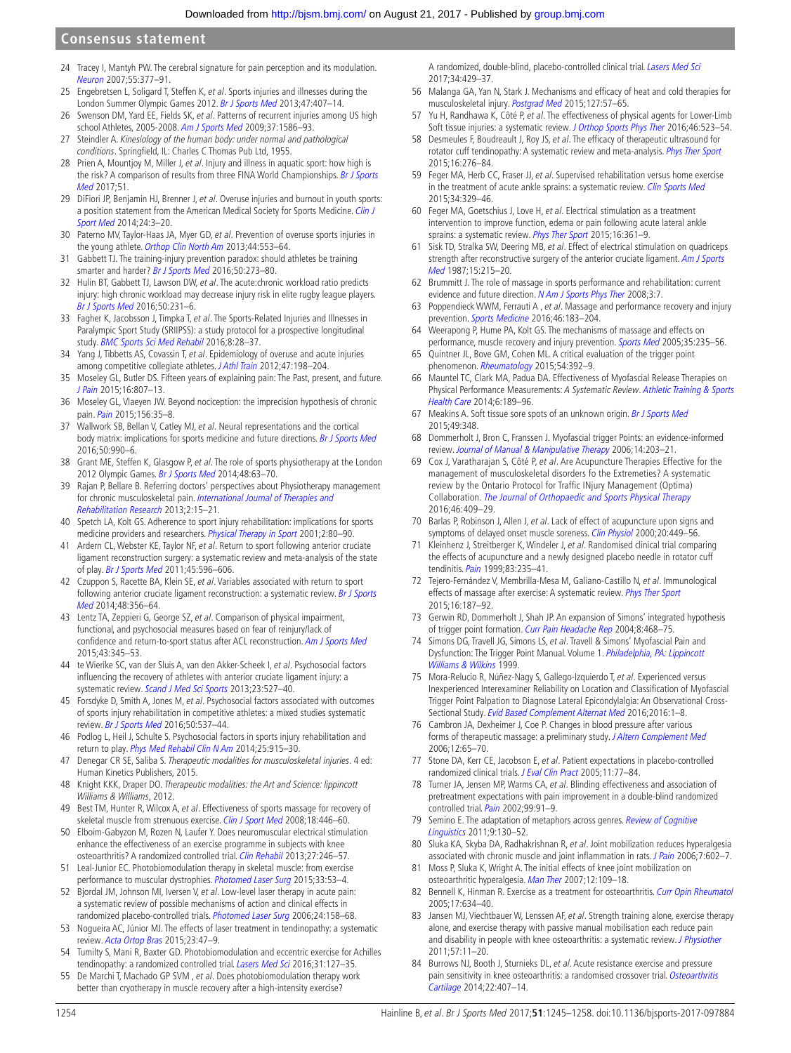- <span id="page-9-0"></span>24 Tracey I, Mantyh PW. The cerebral signature for pain perception and its modulation. [Neuron](http://dx.doi.org/10.1016/j.neuron.2007.07.012) 2007;55:377–91.
- <span id="page-9-1"></span>25 Engebretsen L, Soligard T, Steffen K, et al. Sports injuries and illnesses during the London Summer Olympic Games 2012. [Br J Sports Med](http://dx.doi.org/10.1136/bjsports-2013-092380) 2013;47:407–14.
- <span id="page-9-2"></span>26 Swenson DM, Yard EE, Fields SK, et al. Patterns of recurrent injuries among US high school Athletes, 2005-2008. [Am J Sports Med](http://dx.doi.org/10.1177/0363546509332500) 2009;37:1586-93.
- <span id="page-9-3"></span>27 Steindler A. Kinesiology of the human body: under normal and pathological conditions. Springfield, IL: Charles C Thomas Pub Ltd, 1955.
- <span id="page-9-4"></span>28 Prien A, Mountjoy M, Miller J, et al. Injury and illness in aquatic sport: how high is the risk? A comparison of results from three FINA World Championships. Br J Sports [Med](http://dx.doi.org/10.1136/bjsports-2016-096075) 2017:51
- 29 DiFiori JP, Benjamin HJ, Brenner J, et al. Overuse injuries and burnout in youth sports: a position statement from the American Medical Society for Sports Medicine. Clin J [Sport Med](http://dx.doi.org/10.1097/JSM.0000000000000060) 2014;24:3–20.
- <span id="page-9-5"></span>30 Paterno MV, Taylor-Haas JA, Myer GD, et al. Prevention of overuse sports injuries in the young athlete. [Orthop Clin North Am](http://dx.doi.org/10.1016/j.ocl.2013.06.009) 2013;44:553-64.
- 31 Gabbett TJ. The training-injury prevention paradox: should athletes be training smarter and harder? [Br J Sports Med](http://dx.doi.org/10.1136/bjsports-2015-095788) 2016;50:273–80.
- <span id="page-9-6"></span>32 Hulin BT, Gabbett TJ, Lawson DW, et al. The acute: chronic workload ratio predicts injury: high chronic workload may decrease injury risk in elite rugby league players. [Br J Sports Med](http://dx.doi.org/10.1136/bjsports-2015-094817) 2016;50:231–6.
- <span id="page-9-7"></span>33 Fagher K, Jacobsson J, Timpka T, et al. The Sports-Related Injuries and Illnesses in Paralympic Sport Study (SRIIPSS): a study protocol for a prospective longitudinal study. [BMC Sports Sci Med Rehabil](http://dx.doi.org/10.1186/s13102-016-0053-x) 2016;8:28-37.
- <span id="page-9-8"></span>34 Yang J, Tibbetts AS, Covassin T, et al. Epidemiology of overuse and acute injuries among competitive collegiate athletes. [J Athl Train](http://dx.doi.org/10.4085/1062-6050-47.2.198) 2012;47:198-204.
- 35 Moseley GL, Butler DS. Fifteen years of explaining pain: The Past, present, and future. [J Pain](http://dx.doi.org/10.1016/j.jpain.2015.05.005) 2015;16:807–13.
- 36 Moseley GL, Vlaeyen JW. Beyond nociception: the imprecision hypothesis of chronic pain. [Pain](http://dx.doi.org/10.1016/j.pain.0000000000000014) 2015;156:35–8.
- <span id="page-9-9"></span>37 Wallwork SB, Bellan V, Catley MJ, et al. Neural representations and the cortical body matrix: implications for sports medicine and future directions. [Br J Sports Med](http://dx.doi.org/10.1136/bjsports-2015-095356) 2016;50:990–6.
- 38 Grant ME, Steffen K, Glasgow P, et al. The role of sports physiotherapy at the London 2012 Olympic Games. [Br J Sports Med](http://dx.doi.org/10.1136/bjsports-2013-093169) 2014;48:63-70.
- 39 Rajan P, Bellare B. Referring doctors' perspectives about Physiotherapy management for chronic musculoskeletal pain. [International Journal of Therapies and](http://dx.doi.org/10.5455/ijtrr.00000018)  [Rehabilitation Research](http://dx.doi.org/10.5455/ijtrr.00000018) 2013;2:15–21.
- <span id="page-9-10"></span>40 Spetch LA, Kolt GS. Adherence to sport injury rehabilitation: implications for sports medicine providers and researchers. *[Physical Therapy in Sport](http://dx.doi.org/10.1054/ptsp.2001.0062)* 2001;2:80–90.
- 41 Ardern CL, Webster KE, Taylor NF, et al. Return to sport following anterior cruciate ligament reconstruction surgery: a systematic review and meta-analysis of the state of play. [Br J Sports Med](http://dx.doi.org/10.1136/bjsm.2010.076364) 2011;45:596–606.
- 42 Czuppon S, Racette BA, Klein SE, et al. Variables associated with return to sport following anterior cruciate ligament reconstruction: a systematic review. Br J Sports [Med](http://dx.doi.org/10.1136/bjsports-2012-091786) 2014;48:356–64.
- 43 Lentz TA, Zeppieri G, George SZ, et al. Comparison of physical impairment, functional, and psychosocial measures based on fear of reinjury/lack of confidence and return-to-sport status after ACL reconstruction. [Am J Sports Med](http://dx.doi.org/10.1177/0363546514559707) 2015;43:345–53.
- <span id="page-9-11"></span>44 te Wierike SC, van der Sluis A, van den Akker-Scheek I, et al. Psychosocial factors influencing the recovery of athletes with anterior cruciate ligament injury: a systematic review. [Scand J Med Sci Sports](http://dx.doi.org/10.1111/sms.12010) 2013;23:527–40.
- 45 Forsdyke D, Smith A, Jones M, et al. Psychosocial factors associated with outcomes of sports injury rehabilitation in competitive athletes: a mixed studies systematic review. [Br J Sports Med](http://dx.doi.org/10.1136/bjsports-2015-094850) 2016;50:537-44.
- Podlog L, Heil J, Schulte S. Psychosocial factors in sports injury rehabilitation and return to play. [Phys Med Rehabil Clin N Am](http://dx.doi.org/10.1016/j.pmr.2014.06.011) 2014;25:915-30.
- 47 Denegar CR SE, Saliba S. Therapeutic modalities for musculoskeletal injuries. 4 ed: Human Kinetics Publishers, 2015.
- <span id="page-9-17"></span>48 Knight KKK, Draper DO. Therapeutic modalities: the Art and Science: lippincott Williams & Williams, 2012.
- <span id="page-9-16"></span>49 Best TM, Hunter R, Wilcox A, et al. Effectiveness of sports massage for recovery of skeletal muscle from strenuous exercise. [Clin J Sport Med](http://dx.doi.org/10.1097/JSM.0b013e31818837a1) 2008;18:446-60.
- <span id="page-9-12"></span>50 Elboim-Gabyzon M, Rozen N, Laufer Y. Does neuromuscular electrical stimulation enhance the effectiveness of an exercise programme in subjects with knee osteoarthritis? A randomized controlled trial. [Clin Rehabil](http://dx.doi.org/10.1177/0269215512456388) 2013;27:246-57.
- 51 Leal-Junior EC. Photobiomodulation therapy in skeletal muscle: from exercise performance to muscular dystrophies. [Photomed Laser Surg](http://dx.doi.org/10.1089/pho.2015.9851) 2015;33:53–4.
- 52 Bjordal JM, Johnson MI, Iversen V, et al. Low-level laser therapy in acute pain: a systematic review of possible mechanisms of action and clinical effects in randomized placebo-controlled trials. [Photomed Laser Surg](http://dx.doi.org/10.1089/pho.2006.24.158) 2006;24:158–68.
- 53 Nogueira AC, Júnior MJ. The effects of laser treatment in tendinopathy: a systematic review. [Acta Ortop Bras](http://dx.doi.org/10.1590/1413-78522015230100513) 2015;23:47–9.
- <span id="page-9-13"></span>54 Tumilty S, Mani R, Baxter GD. Photobiomodulation and eccentric exercise for Achilles tendinopathy: a randomized controlled trial. [Lasers Med Sci](http://dx.doi.org/10.1007/s10103-015-1840-4) 2016;31:127-35.
- 55 De Marchi T, Machado GP SVM , et al. Does photobiomodulation therapy work better than cryotherapy in muscle recovery after a high-intensity exercise?

A randomized, double-blind, placebo-controlled clinical trial. Lasers Med Sci 2017;34:429–37.

- <span id="page-9-14"></span>56 Malanga GA, Yan N, Stark J. Mechanisms and efficacy of heat and cold therapies for musculoskeletal injury. [Postgrad Med](http://dx.doi.org/10.1080/00325481.2015.992719) 2015:127:57-65
- <span id="page-9-15"></span>57 Yu H, Randhawa K, Côté P, et al. The effectiveness of physical agents for Lower-Limb Soft tissue injuries: a systematic review. [J Orthop Sports Phys Ther](http://dx.doi.org/10.2519/jospt.2016.6521) 2016:46:523-54.
- 58 Desmeules F, Boudreault J, Roy JS, et al. The efficacy of therapeutic ultrasound for rotator cuff tendinopathy: A systematic review and meta-analysis. [Phys Ther Sport](http://dx.doi.org/10.1016/j.ptsp.2014.09.004) 2015;16:276–84.
- 59 Feger MA, Herb CC, Fraser JJ, et al. Supervised rehabilitation versus home exercise in the treatment of acute ankle sprains: a systematic review. [Clin Sports Med](http://dx.doi.org/10.1016/j.csm.2014.12.001) 2015;34:329–46.
- 60 Feger MA, Goetschius J, Love H, et al. Electrical stimulation as a treatment intervention to improve function, edema or pain following acute lateral ankle sprains: a systematic review. [Phys Ther Sport](http://dx.doi.org/10.1016/j.ptsp.2015.01.001) 2015;16:361-9.
- <span id="page-9-20"></span>61 Sisk TD, Stralka SW, Deering MB, et al. Effect of electrical stimulation on quadriceps strength after reconstructive surgery of the anterior cruciate ligament. Am J Sports [Med](http://dx.doi.org/10.1177/036354658701500304) 1987;15:215–20.
- 62 Brummitt J. The role of massage in sports performance and rehabilitation: current evidence and future direction. N Am J Sports Phys Ther 2008;3:7.
- 63 Poppendieck WWM, Ferrauti A , et al. Massage and performance recovery and injury prevention. Sports Medicine 2016;46:183-204.
- <span id="page-9-18"></span>64 Weerapong P, Hume PA, Kolt GS. The mechanisms of massage and effects on performance, muscle recovery and injury prevention. [Sports Med](http://dx.doi.org/10.2165/00007256-200535030-00004) 2005;35:235-56.
- Quintner JL, Bove GM, Cohen ML. A critical evaluation of the trigger point phenomenon. [Rheumatology](http://dx.doi.org/10.1093/rheumatology/keu471) 2015;54:392-9.
- 66 Mauntel TC, Clark MA, Padua DA. Effectiveness of Myofascial Release Therapies on Physical Performance Measurements: A Systematic Review. [Athletic Training & Sports](http://dx.doi.org/10.3928/19425864-20140717-02) [Health Care](http://dx.doi.org/10.3928/19425864-20140717-02) 2014;6:189–96.
- Meakins A. Soft tissue sore spots of an unknown origin. [Br J Sports Med](http://dx.doi.org/10.1136/bjsports-2014-094502) 2015;49:348.
- <span id="page-9-19"></span>68 Dommerholt J, Bron C, Franssen J. Myofascial trigger Points: an evidence-informed review. [Journal of Manual & Manipulative Therapy](http://dx.doi.org/10.1179/106698106790819991) 2006;14:203-21.
- 69 Cox J, Varatharajan S, Côté P, et al. Are Acupuncture Therapies Effective for the management of musculoskeletal disorders fo the Extremeties? A systematic review by the Ontario Protocol for Traffic INjury Management (Optima) Collaboration. The Journal of Orthopaedic and Sports Physical Therapy 2016;46:409–29.
- 70 Barlas P, Robinson J, Allen J, et al. Lack of effect of acupuncture upon signs and symptoms of delayed onset muscle soreness. Clin Physiol 2000;20:449-56.
- 71 Kleinhenz J, Streitberger K, Windeler J, et al. Randomised clinical trial comparing the effects of acupuncture and a newly designed placebo needle in rotator cuff tendinitis. Pain 1999;83:235-41.
- 72 Tejero-Fernández V, Membrilla-Mesa M, Galiano-Castillo N, et al. Immunological effects of massage after exercise: A systematic review. [Phys Ther Sport](http://dx.doi.org/10.1016/j.ptsp.2014.07.001) 2015;16:187–92.
- 73 Gerwin RD, Dommerholt J, Shah JP. An expansion of Simons' integrated hypothesis of trigger point formation. [Curr Pain Headache Rep](http://dx.doi.org/10.1007/s11916-004-0069-x) 2004;8:468–75.
- 74 Simons DG, Travell JG, Simons LS, et al. Travell & Simons' Myofascial Pain and Dysfunction: The Trigger Point Manual. Volume 1. Philadelphia, PA: Lippincott Williams & Wilkins 1999.
- 75 Mora-Relucio R, Núñez-Nagy S, Gallego-Izquierdo T, et al. Experienced versus Inexperienced Interexaminer Reliability on Location and Classification of Myofascial Trigger Point Palpation to Diagnose Lateral Epicondylalgia: An Observational Cross-Sectional Study. [Evid Based Complement Alternat Med](http://dx.doi.org/10.1155/2016/6059719) 2016;2016:1-8.
- <span id="page-9-21"></span>76 Cambron JA, Dexheimer J, Coe P. Changes in blood pressure after various forms of therapeutic massage: a preliminary study. [J Altern Complement Med](http://dx.doi.org/10.1089/acm.2006.12.65) 2006;12:65–70.
- 77 Stone DA, Kerr CE, Jacobson E, et al. Patient expectations in placebo-controlled randomized clinical trials. [J Eval Clin Pract](http://dx.doi.org/10.1111/j.1365-2753.2004.00512.x) 2005;11:77-84.
- 78 Turner JA, Jensen MP, Warms CA, et al. Blinding effectiveness and association of pretreatment expectations with pain improvement in a double-blind randomized controlled trial. [Pain](http://dx.doi.org/10.1016/S0304-3959(02)00060-X) 2002;99:91-9.
- <span id="page-9-22"></span>79 Semino E. The adaptation of metaphors across genres. Review of Cognitive Linguistics 2011;9:130–52.
- 80 Sluka KA, Skyba DA, Radhakrishnan R, et al. Joint mobilization reduces hyperalgesia associated with chronic muscle and joint inflammation in rats. [J Pain](http://dx.doi.org/10.1016/j.jpain.2006.02.009) 2006;7:602-7.
- <span id="page-9-23"></span>81 Moss P, Sluka K, Wright A. The initial effects of knee joint mobilization on osteoarthritic hyperalgesia. [Man Ther](http://dx.doi.org/10.1016/j.math.2006.02.009) 2007;12:109-18.
- 82 Bennell K, Hinman R. Exercise as a treatment for osteoarthritis. Curr Opin Rheumatol 2005;17:634–40.
- 83 Jansen MJ, Viechtbauer W, Lenssen AF, et al. Strength training alone, exercise therapy alone, and exercise therapy with passive manual mobilisation each reduce pain and disability in people with knee osteoarthritis: a systematic review. [J Physiother](http://dx.doi.org/10.1016/S1836-9553(11)70002-9) 2011;57:11–20.
- 84 Burrows NJ, Booth J, Sturnieks DL, et al. Acute resistance exercise and pressure pain sensitivity in knee osteoarthritis: a randomised crossover trial. Osteoarthritis [Cartilage](http://dx.doi.org/10.1016/j.joca.2013.12.023) 2014;22:407–14.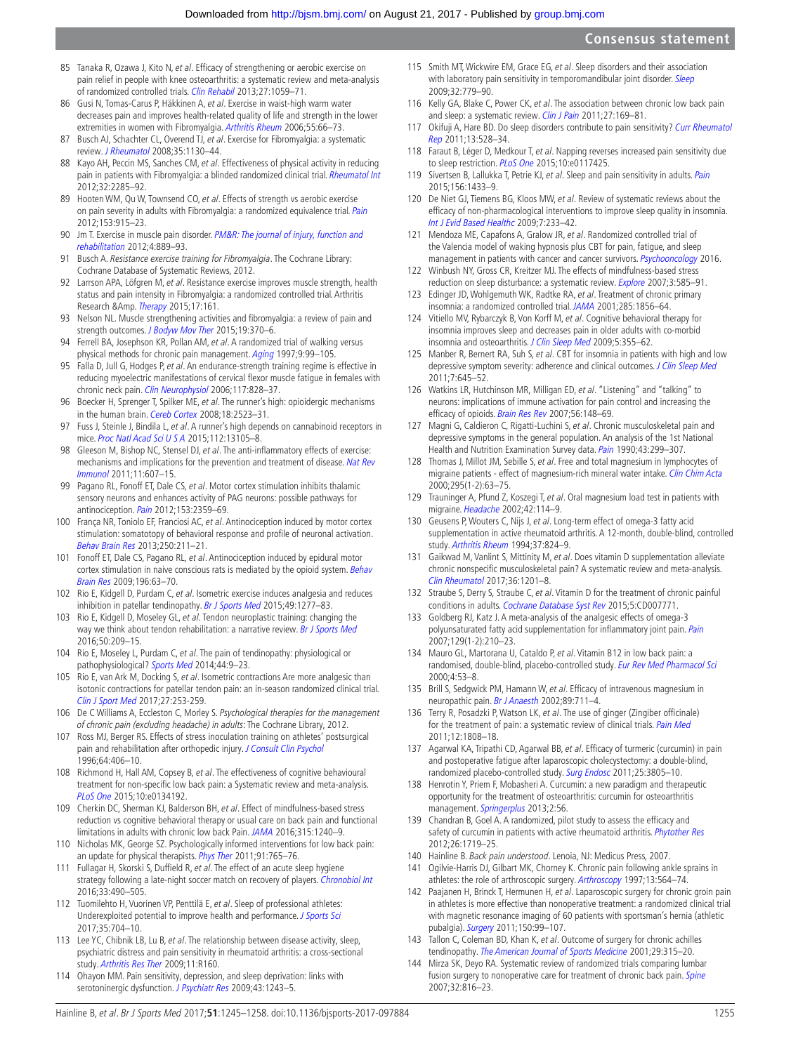- <span id="page-10-0"></span>85 Tanaka R, Ozawa J, Kito N, et al. Efficacy of strengthening or aerobic exercise on pain relief in people with knee osteoarthritis: a systematic review and meta-analysis of randomized controlled trials. [Clin Rehabil](http://dx.doi.org/10.1177/0269215513488898) 2013;27:1059–71.
- 86 Gusi N, Tomas-Carus P, Häkkinen A, et al. Exercise in waist-high warm water decreases pain and improves health-related quality of life and strength in the lower extremities in women with Fibromyalgia. [Arthritis Rheum](http://dx.doi.org/10.1002/art.21718) 2006;55:66-73.
- 87 Busch AJ, Schachter CL, Overend TJ, et al. Exercise for Fibromyalgia: a systematic review. J Rheumatol 2008;35:1130–44.
- 88 Kayo AH, Peccin MS, Sanches CM, et al. Effectiveness of physical activity in reducing pain in patients with Fibromyalgia: a blinded randomized clinical trial. [Rheumatol Int](http://dx.doi.org/10.1007/s00296-011-1958-z) 2012;32:2285–92.
- 89 Hooten WM, Qu W, Townsend CO, et al. Effects of strength vs aerobic exercise on pain severity in adults with Fibromyalgia: a randomized equivalence trial. [Pain](http://dx.doi.org/10.1016/j.pain.2012.01.020) 2012;153:915–23.
- 90 Jm T. Exercise in muscle pain disorder. PM&R: The journal of injury, function and rehabilitation 2012;4:889–93.
- 91 Busch A. Resistance exercise training for Fibromyalgia. The Cochrane Library: Cochrane Database of Systematic Reviews, 2012.
- 92 Larrson APA, Löfgren M, et al. Resistance exercise improves muscle strength, health status and pain intensity in Fibromyalgia: a randomized controlled trial. Arthritis Research &Amp. Therapy 2015;17:161.
- <span id="page-10-1"></span>93 Nelson NL. Muscle strengthening activities and fibromyalgia: a review of pain and strength outcomes. [J Bodyw Mov Ther](http://dx.doi.org/10.1016/j.jbmt.2014.08.007) 2015;19:370-6.
- 94 Ferrell BA, Josephson KR, Pollan AM, et al. A randomized trial of walking versus physical methods for chronic pain management. [Aging](http://dx.doi.org/10.1007/BF03340134) 1997;9:99-105.
- <span id="page-10-2"></span>95 Falla D, Jull G, Hodges P, et al. An endurance-strength training regime is effective in reducing myoelectric manifestations of cervical flexor muscle fatigue in females with chronic neck pain. [Clin Neurophysiol](http://dx.doi.org/10.1016/j.clinph.2005.12.025) 2006;117:828-37.
- <span id="page-10-3"></span>96 Boecker H, Sprenger T, Spilker ME, et al. The runner's high: opioidergic mechanisms in the human brain. [Cereb Cortex](http://dx.doi.org/10.1093/cercor/bhn013) 2008;18:2523-31.
- <span id="page-10-4"></span>97 Fuss J, Steinle J, Bindila L, et al. A runner's high depends on cannabinoid receptors in mice. [Proc Natl Acad Sci U S A](http://dx.doi.org/10.1073/pnas.1514996112) 2015;112:13105-8.
- 98 Gleeson M, Bishop NC, Stensel DJ, et al. The anti-inflammatory effects of exercise: mechanisms and implications for the prevention and treatment of disease. Nat Rev [Immunol](http://dx.doi.org/10.1038/nri3041) 2011;11:607–15.
- 99 Pagano RL, Fonoff ET, Dale CS, et al. Motor cortex stimulation inhibits thalamic sensory neurons and enhances activity of PAG neurons: possible pathways for antinociception. [Pain](http://dx.doi.org/10.1016/j.pain.2012.08.002) 2012;153:2359–69.
- 100 França NR, Toniolo EF, Franciosi AC, et al. Antinociception induced by motor cortex stimulation: somatotopy of behavioral response and profile of neuronal activation. [Behav Brain Res](http://dx.doi.org/10.1016/j.bbr.2013.05.019) 2013;250:211–21.
- 101 Fonoff ET, Dale CS, Pagano RL, et al. Antinociception induced by epidural motor cortex stimulation in naive conscious rats is mediated by the opioid system. Behav [Brain Res](http://dx.doi.org/10.1016/j.bbr.2008.07.027) 2009;196:63–70.
- <span id="page-10-5"></span>102 Rio E, Kidgell D, Purdam C, et al. Isometric exercise induces analgesia and reduces inhibition in patellar tendinopathy. [Br J Sports Med](http://dx.doi.org/10.1136/bjsports-2014-094386) 2015;49:1277-83.
- 103 Rio E, Kidgell D, Moseley GL, et al. Tendon neuroplastic training: changing the way we think about tendon rehabilitation: a narrative review. [Br J Sports Med](http://dx.doi.org/10.1136/bjsports-2015-095215) 2016;50:209–15.
- 104 Rio E, Moseley L, Purdam C, et al. The pain of tendinopathy: physiological or pathophysiological? [Sports Med](http://dx.doi.org/10.1007/s40279-013-0096-z) 2014;44:9-23.
- <span id="page-10-6"></span>105 Rio E, van Ark M, Docking S, et al. Isometric contractions Are more analgesic than isotonic contractions for patellar tendon pain: an in-season randomized clinical trial. [Clin J Sport Med](http://dx.doi.org/10.1097/JSM.0000000000000364) 2017;27:253-259.
- <span id="page-10-7"></span>106 De C Williams A, Eccleston C, Morley S. Psychological therapies for the management of chronic pain (excluding headache) in adults: The Cochrane Library, 2012.
- 107 Ross MJ, Berger RS. Effects of stress inoculation training on athletes' postsurgical pain and rehabilitation after orthopedic injury. [J Consult Clin Psychol](http://dx.doi.org/10.1037/0022-006X.64.2.406) 1996;64:406–10.
- 108 Richmond H, Hall AM, Copsey B, et al. The effectiveness of cognitive behavioural treatment for non-specific low back pain: a Systematic review and meta-analysis. [PLoS One](http://dx.doi.org/10.1371/journal.pone.0134192) 2015;10:e0134192.
- 109 Cherkin DC, Sherman KJ, Balderson BH, et al. Effect of mindfulness-based stress reduction vs cognitive behavioral therapy or usual care on back pain and functional limitations in adults with chronic low back Pain. [JAMA](http://dx.doi.org/10.1001/jama.2016.2323) 2016;315:1240–9.
- <span id="page-10-8"></span>110 Nicholas MK, George SZ. Psychologically informed interventions for low back pain: an update for physical therapists. [Phys Ther](http://dx.doi.org/10.2522/ptj.20100278) 2011;91:765–76.
- <span id="page-10-10"></span>111 Fullagar H, Skorski S, Duffield R, et al. The effect of an acute sleep hygiene strategy following a late-night soccer match on recovery of players. [Chronobiol Int](http://dx.doi.org/10.3109/07420528.2016.1149190) 2016;33:490–505.
- <span id="page-10-9"></span>112 Tuomilehto H, Vuorinen VP, Penttilä E, et al. Sleep of professional athletes: Underexploited potential to improve health and performance. [J Sports Sci](http://dx.doi.org/10.1080/02640414.2016.1184300) 2017;35:704–10.
- 113 Lee YC, Chibnik LB, Lu B, et al. The relationship between disease activity, sleep, psychiatric distress and pain sensitivity in rheumatoid arthritis: a cross-sectional study. [Arthritis Res Ther](http://dx.doi.org/10.1186/ar2842) 2009;11:R160.
- 114 Ohayon MM. Pain sensitivity, depression, and sleep deprivation: links with serotoninergic dysfunction. [J Psychiatr Res](http://dx.doi.org/10.1016/j.jpsychires.2009.10.007) 2009;43:1243-5.
- 115 Smith MT, Wickwire EM, Grace EG, et al. Sleep disorders and their association with laboratory pain sensitivity in temporomandibular joint disorder. [Sleep](http://dx.doi.org/10.1093/sleep/32.6.779) 2009;32:779–90.
- 116 Kelly GA, Blake C, Power CK, et al. The association between chronic low back pain and sleep: a systematic review. [Clin J Pain](http://dx.doi.org/10.1097/AJP.0b013e3181f3bdd5) 2011:27:169-81.
- 117 Okifuji A, Hare BD. Do sleep disorders contribute to pain sensitivity? Curr Rheumatol [Rep](http://dx.doi.org/10.1007/s11926-011-0204-8) 2011;13:528–34.
- 118 Faraut B, Léger D, Medkour T, et al. Napping reverses increased pain sensitivity due to sleep restriction. [PLoS One](http://dx.doi.org/10.1371/journal.pone.0117425) 2015:10:e0117425.
- <span id="page-10-11"></span>119 Sivertsen B, Lallukka T, Petrie KJ, et al. Sleep and pain sensitivity in adults. [Pain](http://dx.doi.org/10.1097/j.pain.0000000000000131) 2015;156:1433–9.
- <span id="page-10-12"></span>120 De Niet GJ, Tiemens BG, Kloos MW, et al. Review of systematic reviews about the efficacy of non-pharmacological interventions to improve sleep quality in insomnia. [Int J Evid Based Healthc](http://dx.doi.org/10.1111/j.1744-1609.2009.00142.x) 2009;7:233–42.
- <span id="page-10-13"></span>121 Mendoza ME, Capafons A, Gralow JR, et al. Randomized controlled trial of the Valencia model of waking hypnosis plus CBT for pain, fatigue, and sleep management in patients with cancer and cancer survivors. [Psychooncology](http://dx.doi.org/10.1002/pon.4232) 2016.
- <span id="page-10-14"></span>122 Winbush NY, Gross CR, Kreitzer MJ. The effects of mindfulness-based stress reduction on sleep disturbance: a systematic review. [Explore](http://dx.doi.org/10.1016/j.explore.2007.08.003) 2007;3:585-91.
- 123 Edinger JD, Wohlgemuth WK, Radtke RA, et al. Treatment of chronic primary insomnia: a randomized controlled trial. JAMA 2001;285:1856–64.
- 124 Vitiello MV, Rybarczyk B, Von Korff M, et al. Cognitive behavioral therapy for insomnia improves sleep and decreases pain in older adults with co-morbid insomnia and osteoarthritis. J Clin Sleep Med 2009;5:355-62.
- <span id="page-10-15"></span>125 Manber R, Bernert RA, Suh S, et al. CBT for insomnia in patients with high and low depressive symptom severity: adherence and clinical outcomes. [J Clin Sleep Med](http://dx.doi.org/10.5664/jcsm.1472) 2011;7:645–52.
- <span id="page-10-16"></span>126 Watkins LR, Hutchinson MR, Milligan ED, et al. "Listening" and "talking" to neurons: implications of immune activation for pain control and increasing the efficacy of opioids. [Brain Res Rev](http://dx.doi.org/10.1016/j.brainresrev.2007.06.006) 2007;56:148-69.
- 127 Magni G, Caldieron C, Rigatti-Luchini S, et al. Chronic musculoskeletal pain and depressive symptoms in the general population. An analysis of the 1st National Health and Nutrition Examination Survey data. [Pain](http://dx.doi.org/10.1016/0304-3959(90)90027-B) 1990;43:299-307.
- 128 Thomas J, Millot JM, Sebille S, et al. Free and total magnesium in lymphocytes of migraine patients - effect of magnesium-rich mineral water intake. [Clin Chim Acta](http://dx.doi.org/10.1016/S0009-8981(00)00186-8) 2000;295(1-2):63–75.
- 129 Trauninger A, Pfund Z, Koszegi T, et al. Oral magnesium load test in patients with migraine. [Headache](http://dx.doi.org/10.1046/j.1526-4610.2002.02026.x) 2002;42:114–9.
- 130 Geusens P, Wouters C, Nijs J, et al. Long-term effect of omega-3 fatty acid supplementation in active rheumatoid arthritis. A 12-month, double-blind, controlled study. Arthritis Rheum 1994;37:824-9.
- 131 Gaikwad M, Vanlint S, Mittinity M, et al. Does vitamin D supplementation alleviate chronic nonspecific musculoskeletal pain? A systematic review and meta-analysis. [Clin Rheumatol](http://dx.doi.org/10.1007/s10067-016-3205-1) 2017;36:1201–8.
- 132 Straube S, Derry S, Straube C, et al. Vitamin D for the treatment of chronic painful conditions in adults. [Cochrane Database Syst Rev](http://dx.doi.org/10.1002/14651858.CD007771.pub3) 2015;5:CD007771.
- 133 Goldberg RJ, Katz J. A meta-analysis of the analgesic effects of omega-3 polyunsaturated fatty acid supplementation for inflammatory joint pain. [Pain](http://dx.doi.org/10.1016/j.pain.2007.01.020) 2007;129(1-2):210–23.
- 134 Mauro GL, Martorana U, Cataldo P, et al. Vitamin B12 in low back pain: a randomised, double-blind, placebo-controlled study. Eur Rev Med Pharmacol Sci 2000;4:53–8.
- 135 Brill S, Sedgwick PM, Hamann W, et al. Efficacy of intravenous magnesium in neuropathic pain. [Br J Anaesth](http://dx.doi.org/10.1093/bja/89.5.711) 2002;89:711–4.
- 136 Terry R, Posadzki P, Watson LK, et al. The use of ginger (Zingiber officinale) for the treatment of pain: a systematic review of clinical trials. [Pain Med](http://dx.doi.org/10.1111/j.1526-4637.2011.01261.x) 2011;12:1808–18.
- 137 Agarwal KA, Tripathi CD, Agarwal BB, et al. Efficacy of turmeric (curcumin) in pain and postoperative fatigue after laparoscopic cholecystectomy: a double-blind, randomized placebo-controlled study. [Surg Endosc](http://dx.doi.org/10.1007/s00464-011-1793-z) 2011;25:3805-10.
- 138 Henrotin Y, Priem F, Mobasheri A. Curcumin: a new paradigm and therapeutic opportunity for the treatment of osteoarthritis: curcumin for osteoarthritis management. [Springerplus](http://dx.doi.org/10.1186/2193-1801-2-56) 2013;2:56.
- <span id="page-10-17"></span>139 Chandran B, Goel A. A randomized, pilot study to assess the efficacy and safety of curcumin in patients with active rheumatoid arthritis. *[Phytother Res](http://dx.doi.org/10.1002/ptr.4639)* 2012;26:1719–25.
- <span id="page-10-18"></span>140 Hainline B. Back pain understood. Lenoia, NJ: Medicus Press, 2007.
- 141 Ogilvie-Harris DJ, Gilbart MK, Chorney K. Chronic pain following ankle sprains in athletes: the role of arthroscopic surgery. [Arthroscopy](http://dx.doi.org/10.1016/S0749-8063(97)90181-X) 1997;13:564-74.
- 142 Paajanen H, Brinck T, Hermunen H, et al. Laparoscopic surgery for chronic groin pain in athletes is more effective than nonoperative treatment: a randomized clinical trial with magnetic resonance imaging of 60 patients with sportsman's hernia (athletic pubalgia). [Surgery](http://dx.doi.org/10.1016/j.surg.2011.02.016) 2011;150:99-107.
- <span id="page-10-19"></span>143 Tallon C, Coleman BD, Khan K, et al. Outcome of surgery for chronic achilles tendinopathy. The American Journal of Sports Medicine 2001;29:315-20.
- <span id="page-10-20"></span>144 Mirza SK, Deyo RA. Systematic review of randomized trials comparing lumbar fusion surgery to nonoperative care for treatment of chronic back pain. [Spine](http://dx.doi.org/10.1097/01.brs.0000259225.37454.38) 2007;32:816–23.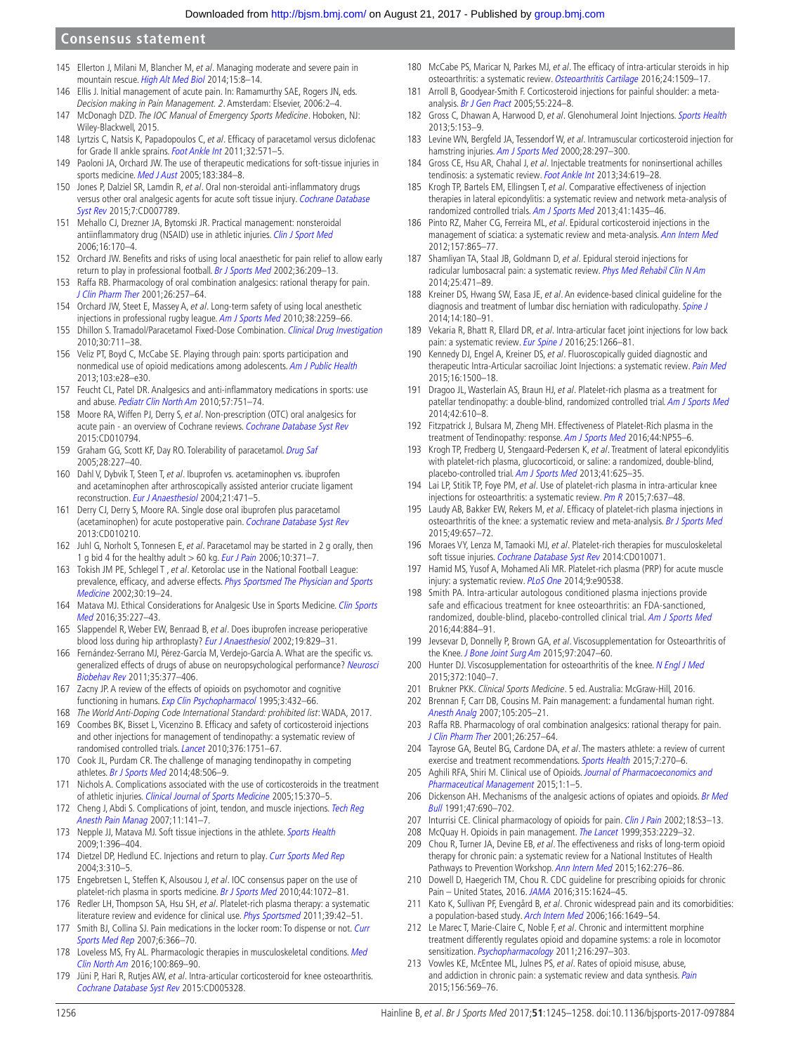- <span id="page-11-0"></span>145 Ellerton J, Milani M, Blancher M, et al. Managing moderate and severe pain in mountain rescue. [High Alt Med Biol](http://dx.doi.org/10.1089/ham.2013.1135) 2014;15:8–14.
- <span id="page-11-1"></span>146 Ellis J. Initial management of acute pain. In: Ramamurthy SAE, Rogers JN, eds. Decision making in Pain Management. 2. Amsterdam: Elsevier, 2006:2–4.
- <span id="page-11-2"></span>147 McDonagh DZD. The IOC Manual of Emergency Sports Medicine. Hoboken, NJ: Wiley-Blackwell, 2015.
- 148 Lyrtzis C, Natsis K, Papadopoulos C, et al. Efficacy of paracetamol versus diclofenac for Grade II ankle sprains. [Foot Ankle Int](http://dx.doi.org/10.3113/FAI.2011.0571) 2011;32:571–5.
- 149 Paoloni JA, Orchard JW. The use of therapeutic medications for soft-tissue injuries in sports medicine. Med J Aust 2005;183:384-8.
- <span id="page-11-18"></span>150 Jones P, Dalziel SR, Lamdin R, et al. Oral non-steroidal anti-inflammatory drugs versus other oral analgesic agents for acute soft tissue injury. Cochrane Database [Syst Rev](http://dx.doi.org/10.1002/14651858.CD007789.pub2) 2015;7:CD007789.
- <span id="page-11-13"></span>151 Mehallo CJ, Drezner JA, Bytomski JR. Practical management: nonsteroidal antiinflammatory drug (NSAID) use in athletic injuries. [Clin J Sport Med](http://dx.doi.org/10.1097/00042752-200603000-00015) 2006;16:170–4.
- <span id="page-11-3"></span>152 Orchard JW. Benefits and risks of using local anaesthetic for pain relief to allow early return to play in professional football. [Br J Sports Med](http://dx.doi.org/10.1136/bjsm.36.3.209) 2002;36:209-13.
- <span id="page-11-14"></span>153 Raffa RB. Pharmacology of oral combination analgesics: rational therapy for pain. [J Clin Pharm Ther](http://dx.doi.org/10.1046/j.1365-2710.2001.00355.x) 2001;26:257–64.
- <span id="page-11-12"></span>154 Orchard JW, Steet E, Massey A, et al. Long-term safety of using local anesthetic injections in professional rugby league. [Am J Sports Med](http://dx.doi.org/10.1177/0363546510372796) 2010;38:2259-66.
- 155 Dhillon S. Tramadol/Paracetamol Fixed-Dose Combination. [Clinical Drug Investigation](http://dx.doi.org/10.2165/11205830-000000000-00000) 2010;30:711–38.
- <span id="page-11-10"></span>156 Veliz PT, Boyd C, McCabe SE. Playing through pain: sports participation and nonmedical use of opioid medications among adolescents. [Am J Public Health](http://dx.doi.org/10.2105/AJPH.2013.301242) 2013;103:e28–e30.
- <span id="page-11-6"></span>157 Feucht CL, Patel DR. Analgesics and anti-inflammatory medications in sports: use and abuse. [Pediatr Clin North Am](http://dx.doi.org/10.1016/j.pcl.2010.02.004) 2010;57:751–74.
- <span id="page-11-4"></span>158 Moore RA, Wiffen PJ, Derry S, et al. Non-prescription (OTC) oral analgesics for acute pain - an overview of Cochrane reviews. [Cochrane Database Syst Rev](http://dx.doi.org/10.1002/14651858.CD010794.pub2) 2015:CD010794.
- <span id="page-11-5"></span>159 Graham GG, Scott KF, Day RO. Tolerability of paracetamol. [Drug Saf](http://dx.doi.org/10.2165/00002018-200528030-00004) 2005;28:227–40.
- 160 Dahl V, Dybvik T, Steen T, et al. Ibuprofen vs. acetaminophen vs. ibuprofen and acetaminophen after arthroscopically assisted anterior cruciate ligament reconstruction. [Eur J Anaesthesiol](http://dx.doi.org/10.1097/00003643-200406000-00009) 2004;21:471–5.
- <span id="page-11-7"></span>161 Derry CJ, Derry S, Moore RA. Single dose oral ibuprofen plus paracetamol (acetaminophen) for acute postoperative pain. [Cochrane Database Syst Rev](http://dx.doi.org/10.1002/14651858.CD010210.pub2) 2013:CD010210.
- <span id="page-11-8"></span>162 Juhl G, Norholt S, Tonnesen E, et al. Paracetamol may be started in 2 g orally, then 1 g bid 4 for the healthy adult  $> 60$  kg. Eur J Pain 2006;10:371-7.
- 163 Tokish JM PE, Schlegel T, et al. Ketorolac use in the National Football League: prevalence, efficacy, and adverse effects. Phys Sportsmed The Physician and Sports Medicine 2002;30:19–24.
- <span id="page-11-9"></span>164 Matava MJ. Ethical Considerations for Analgesic Use in Sports Medicine. Clin Sports [Med](http://dx.doi.org/10.1016/j.csm.2015.10.007) 2016;35:227–43.
- <span id="page-11-11"></span>165 Slappendel R, Weber EW, Benraad B, et al. Does ibuprofen increase perioperative blood loss during hip arthroplasty? [Eur J Anaesthesiol](http://dx.doi.org/10.1017/S0265021502001345) 2002;19:829-31.
- 166 Fernández-Serrano MJ, Pérez-García M, Verdejo-García A. What are the specific vs. generalized effects of drugs of abuse on neuropsychological performance? Neurosci [Biobehav Rev](http://dx.doi.org/10.1016/j.neubiorev.2010.04.008) 2011;35:377–406.
- <span id="page-11-15"></span>167 Zacny JP. A review of the effects of opioids on psychomotor and cognitive functioning in humans. [Exp Clin Psychopharmacol](http://dx.doi.org/10.1037/1064-1297.3.4.432) 1995;3:432-66.
- <span id="page-11-16"></span>168 The World Anti-Doping Code International Standard: prohibited list: WADA, 2017. 169 Coombes BK, Bisset L, Vicenzino B. Efficacy and safety of corticosteroid injections
- and other injections for management of tendinopathy: a systematic review of randomised controlled trials. [Lancet](http://dx.doi.org/10.1016/S0140-6736(10)61160-9) 2010;376:1751–67.
- 170 Cook JL, Purdam CR. The challenge of managing tendinopathy in competing athletes. [Br J Sports Med](http://dx.doi.org/10.1136/bjsports-2012-092078) 2014;48:506-9.
- 171 Nichols A. Complications associated with the use of corticosteroids in the treatment of athletic injuries. Clinical Journal of Sports Medicine 2005;15:370–5.
- <span id="page-11-17"></span>172 Cheng J, Abdi S. Complications of joint, tendon, and muscle injections. Tech Reg [Anesth Pain Manag](http://dx.doi.org/10.1053/j.trap.2007.05.006) 2007;11:141–7.
- 173 Nepple JJ, Matava MJ. Soft tissue injections in the athlete. [Sports Health](http://dx.doi.org/10.1177/1941738109343159) 2009;1:396–404.
- <span id="page-11-20"></span>174 Dietzel DP, Hedlund EC. Injections and return to play. [Curr Sports Med Rep](http://dx.doi.org/10.1249/00149619-200412000-00005) 2004;3:310–5.
- 175 Engebretsen L, Steffen K, Alsousou J, et al. IOC consensus paper on the use of platelet-rich plasma in sports medicine. [Br J Sports Med](http://dx.doi.org/10.1136/bjsm.2010.079822) 2010;44:1072-81.
- 176 Redler LH, Thompson SA, Hsu SH, et al. Platelet-rich plasma therapy: a systematic literature review and evidence for clinical use. *[Phys Sportsmed](http://dx.doi.org/10.3810/psm.2011.02.1861)* 2011;39:42-51.
- 177 Smith BJ, Collina SJ. Pain medications in the locker room: To dispense or not. Curr [Sports Med Rep](http://dx.doi.org/10.1007/s11932-007-0053-4) 2007;6:366–70.
- <span id="page-11-19"></span>178 Loveless MS, Fry AL. Pharmacologic therapies in musculoskeletal conditions. Med [Clin North Am](http://dx.doi.org/10.1016/j.mcna.2016.03.015) 2016;100:869–90.
- 179 Jüni P, Hari R, Rutjes AW, et al. Intra-articular corticosteroid for knee osteoarthritis. [Cochrane Database Syst Rev](http://dx.doi.org/10.1002/14651858.CD005328.pub3) 2015:CD005328.
- 180 McCabe PS, Maricar N, Parkes MJ, et al. The efficacy of intra-articular steroids in hip osteoarthritis: a systematic review. [Osteoarthritis Cartilage](http://dx.doi.org/10.1016/j.joca.2016.04.018) 2016;24:1509-17.
- Arroll B, Goodyear-Smith F. Corticosteroid injections for painful shoulder: a metaanalysis. Br J Gen Pract 2005;55:224–8.
- 182 Gross C, Dhawan A, Harwood D, et al. Glenohumeral Joint Injections, [Sports Health](http://dx.doi.org/10.1177/1941738112459706) 2013;5:153–9.
- 183 Levine WN, Bergfeld JA, Tessendorf W, et al. Intramuscular corticosteroid injection for hamstring injuries. Am J Sports Med 2000;28:297-300.
- 184 Gross CE, Hsu AR, Chahal J, et al. Injectable treatments for noninsertional achilles tendinosis: a systematic review. [Foot Ankle Int](http://dx.doi.org/10.1177/1071100713475353) 2013:34:619-28.
- 185 Krogh TP, Bartels EM, Ellingsen T, et al. Comparative effectiveness of injection therapies in lateral epicondylitis: a systematic review and network meta-analysis of randomized controlled trials. [Am J Sports Med](http://dx.doi.org/10.1177/0363546512458237) 2013;41:1435-46.
- 186 Pinto RZ, Maher CG, Ferreira ML, et al. Epidural corticosteroid injections in the management of sciatica: a systematic review and meta-analysis. [Ann Intern Med](http://dx.doi.org/10.7326/0003-4819-157-12-201212180-00564) 2012;157:865–77.
- 187 Shamliyan TA, Staal JB, Goldmann D, et al. Epidural steroid injections for radicular lumbosacral pain: a systematic review. [Phys Med Rehabil Clin N Am](http://dx.doi.org/10.1016/j.pmr.2014.02.001) 2014;25:471–89.
- 188 Kreiner DS, Hwang SW, Easa JE, et al. An evidence-based clinical guideline for the diagnosis and treatment of lumbar disc herniation with radiculopathy. [Spine J](http://dx.doi.org/10.1016/j.spinee.2013.08.003) 2014;14:180–91.
- 189 Vekaria R, Bhatt R, Ellard DR, et al. Intra-articular facet joint injections for low back pain: a systematic review. [Eur Spine J](http://dx.doi.org/10.1007/s00586-016-4455-y) 2016;25:1266-81
- Kennedy DJ, Engel A, Kreiner DS, et al. Fluoroscopically guided diagnostic and therapeutic Intra-Articular sacroiliac Joint Injections: a systematic review. [Pain Med](http://dx.doi.org/10.1111/pme.12833) 2015;16:1500–18.
- 191 Dragoo JL, Wasterlain AS, Braun HJ, et al. Platelet-rich plasma as a treatment for patellar tendinopathy: a double-blind, randomized controlled trial. [Am J Sports Med](http://dx.doi.org/10.1177/0363546513518416) 2014;42:610–8.
- 192 Fitzpatrick J, Bulsara M, Zheng MH. Effectiveness of Platelet-Rich plasma in the treatment of Tendinopathy: response. [Am J Sports Med](http://dx.doi.org/10.1177/0363546516669322) 2016;44:NP55-6.
- 193 Krogh TP, Fredberg U, Stengaard-Pedersen K, et al. Treatment of lateral epicondylitis with platelet-rich plasma, glucocorticoid, or saline: a randomized, double-blind, placebo-controlled trial. [Am J Sports Med](http://dx.doi.org/10.1177/0363546512472975) 2013;41:625-35.
- 194 Lai LP, Stitik TP, Foye PM, et al. Use of platelet-rich plasma in intra-articular knee injections for osteoarthritis: a systematic review. [Pm R](http://dx.doi.org/10.1016/j.pmrj.2015.02.003) 2015;7:637-48.
- 195 Laudy AB, Bakker EW, Rekers M, et al. Efficacy of platelet-rich plasma injections in osteoarthritis of the knee: a systematic review and meta-analysis. [Br J Sports Med](http://dx.doi.org/10.1136/bjsports-2014-094036) 2015;49:657–72.
- 196 Moraes VY, Lenza M, Tamaoki MJ, et al. Platelet-rich therapies for musculoskeletal soft tissue injuries. [Cochrane Database Syst Rev](http://dx.doi.org/10.1002/14651858.CD010071.pub3) 2014:CD010071.
- 197 Hamid MS, Yusof A, Mohamed Ali MR. Platelet-rich plasma (PRP) for acute muscle injury: a systematic review. [PLoS One](http://dx.doi.org/10.1371/journal.pone.0090538) 2014;9:e90538.
- <span id="page-11-21"></span>198 Smith PA. Intra-articular autologous conditioned plasma injections provide safe and efficacious treatment for knee osteoarthritis: an FDA-sanctioned, randomized, double-blind, placebo-controlled clinical trial. [Am J Sports Med](http://dx.doi.org/10.1177/0363546515624678) 2016;44:884–91.
- 199 Jevsevar D, Donnelly P, Brown GA, et al. Viscosupplementation for Osteoarthritis of the Knee. *[J Bone Joint Surg Am](http://dx.doi.org/10.2106/JBJS.N.00743)* 2015;97:2047-60.
- <span id="page-11-22"></span>200 Hunter DJ. Viscosupplementation for osteoarthritis of the knee. [N Engl J Med](http://dx.doi.org/10.1056/NEJMct1215534) 2015;372:1040–7.
- 201 Brukner PKK. Clinical Sports Medicine. 5 ed. Australia: McGraw-Hill, 2016.
- 202 Brennan F, Carr DB, Cousins M. Pain management: a fundamental human right. [Anesth Analg](http://dx.doi.org/10.1213/01.ane.0000268145.52345.55) 2007;105:205–21.
- 203 Raffa RB. Pharmacology of oral combination analgesics: rational therapy for pain. [J Clin Pharm Ther](http://dx.doi.org/10.1046/j.1365-2710.2001.00355.x) 2001;26:257–64.
- <span id="page-11-23"></span>204 Tayrose GA, Beutel BG, Cardone DA, et al. The masters athlete: a review of current exercise and treatment recommendations. [Sports Health](http://dx.doi.org/10.1177/1941738114548999) 2015;7:270-6.
- 205 Aghili RFA, Shiri M. Clinical use of Opioids. Journal of Pharmacoeconomics and Pharmaceutical Management 2015;1:1–5.
- 206 Dickenson AH. Mechanisms of the analgesic actions of opiates and opioids. Br Med [Bull](http://dx.doi.org/10.1093/oxfordjournals.bmb.a072501) 1991;47:690–702.
- 207 Inturrisi CE. Clinical pharmacology of opioids for pain. Clin J Pain 2002;18:S3-13.
- <span id="page-11-24"></span>208 McQuay H. Opioids in pain management. [The Lancet](http://dx.doi.org/10.1016/S0140-6736(99)03528-X) 1999;353:2229–32.
- 209 Chou R, Turner JA, Devine EB, et al. The effectiveness and risks of long-term opioid therapy for chronic pain: a systematic review for a National Institutes of Health Pathways to Prevention Workshop. [Ann Intern Med](http://dx.doi.org/10.7326/M14-2559) 2015;162:276-86.
- 210 Dowell D, Haegerich TM, Chou R. CDC guideline for prescribing opioids for chronic Pain – United States, 2016. [JAMA](http://dx.doi.org/10.1001/jama.2016.1464) 2016;315:1624–45.
- Kato K, Sullivan PF, Evengård B, et al. Chronic widespread pain and its comorbidities: a population-based study. [Arch Intern Med](http://dx.doi.org/10.1001/archinte.166.15.1649) 2006;166:1649–54.
- 212 Le Marec T, Marie-Claire C, Noble F, et al. Chronic and intermittent morphine treatment differently regulates opioid and dopamine systems: a role in locomotor sensitization. *[Psychopharmacology](http://dx.doi.org/10.1007/s00213-011-2223-6)* 2011;216:297-303.
- 213 Vowles KE, McEntee ML, Julnes PS, et al. Rates of opioid misuse, abuse, and addiction in chronic pain: a systematic review and data synthesis. [Pain](http://dx.doi.org/10.1097/01.j.pain.0000460357.01998.f1) 2015;156:569–76.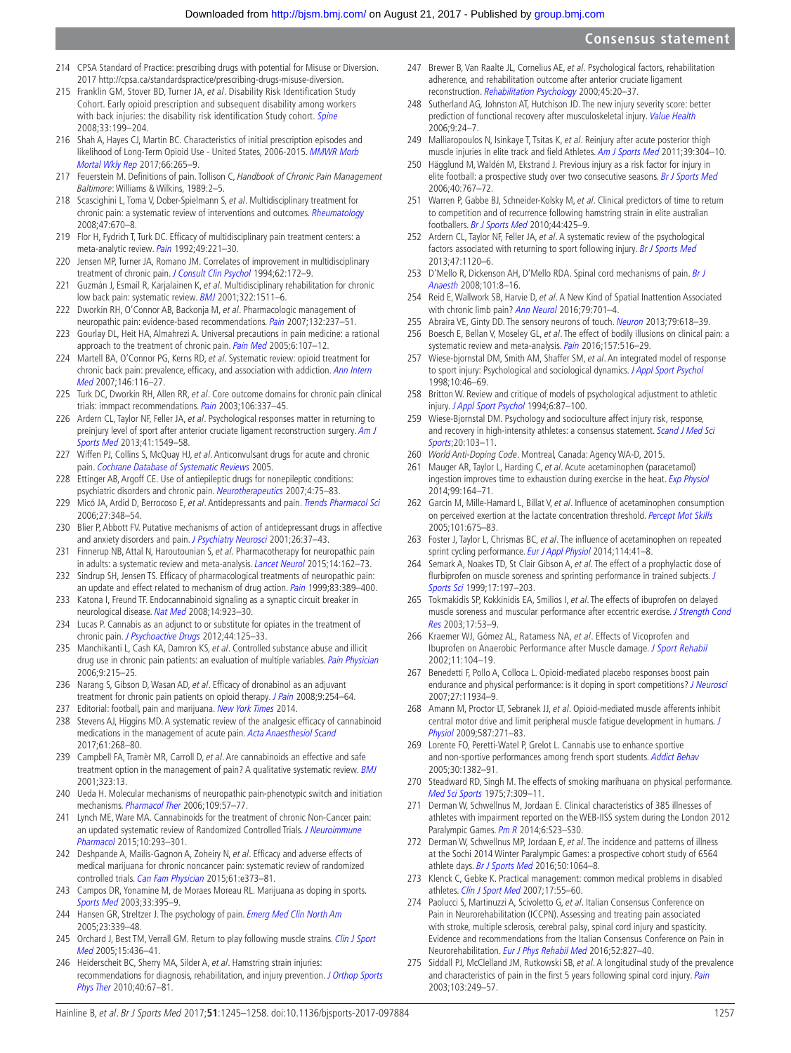- <span id="page-12-0"></span>214 CPSA Standard of Practice: prescribing drugs with potential for Misuse or Diversion. 2017<http://cpsa.ca/standardspractice/prescribing-drugs-misuse-diversion>.
- <span id="page-12-1"></span>215 Franklin GM, Stover BD, Turner JA, et al. Disability Risk Identification Study Cohort. Early opioid prescription and subsequent disability among workers with back injuries: the disability risk identification Study cohort. [Spine](http://dx.doi.org/10.1097/BRS.0b013e318160455c) 2008;33:199–204.
- <span id="page-12-2"></span>216 Shah A, Hayes CJ, Martin BC. Characteristics of initial prescription episodes and likelihood of Long-Term Opioid Use - United States, 2006-2015. MMWR Morb [Mortal Wkly Rep](http://dx.doi.org/10.15585/mmwr.mm6610a1) 2017;66:265–9.
- <span id="page-12-3"></span>217 Feuerstein M. Definitions of pain. Tollison C, Handbook of Chronic Pain Management Baltimore: Williams & Wilkins, 1989:2–5.
- <span id="page-12-5"></span>218 Scascighini L, Toma V, Dober-Spielmann S, et al. Multidisciplinary treatment for chronic pain: a systematic review of interventions and outcomes. [Rheumatology](http://dx.doi.org/10.1093/rheumatology/ken021) 2008;47:670–8.
- 219 Flor H, Fydrich T, Turk DC. Efficacy of multidisciplinary pain treatment centers: a meta-analytic review. [Pain](http://dx.doi.org/10.1016/0304-3959(92)90145-2) 1992;49:221-30.
- 220 Jensen MP, Turner JA, Romano JM. Correlates of improvement in multidisciplinary treatment of chronic pain. [J Consult Clin Psychol](http://dx.doi.org/10.1037/0022-006X.62.1.172) 1994;62:172-9.
- <span id="page-12-4"></span>221 Guzmán J, Esmail R, Karjalainen K, et al. Multidisciplinary rehabilitation for chronic low back pain: systematic review. [BMJ](http://dx.doi.org/10.1136/bmj.322.7301.1511) 2001;322:1511–6.
- 222 Dworkin RH, O'Connor AB, Backonja M, et al. Pharmacologic management of neuropathic pain: evidence-based recommendations. [Pain](http://dx.doi.org/10.1016/j.pain.2007.08.033) 2007;132:237-51.
- 223 Gourlay DL, Heit HA, Almahrezi A. Universal precautions in pain medicine: a rational approach to the treatment of chronic pain. [Pain Med](http://dx.doi.org/10.1111/j.1526-4637.2005.05031.x) 2005;6:107-12.
- 224 Martell BA, O'Connor PG, Kerns RD, et al. Systematic review: opioid treatment for chronic back pain: prevalence, efficacy, and association with addiction. Ann Intern Med 2007;146:116–27.
- 225 Turk DC, Dworkin RH, Allen RR, et al. Core outcome domains for chronic pain clinical trials: immpact recommendations. Pain 2003;106:337-45.
- 226 Ardern CL, Taylor NF, Feller JA, et al. Psychological responses matter in returning to preinjury level of sport after anterior cruciate ligament reconstruction surgery. Am J [Sports Med](http://dx.doi.org/10.1177/0363546513489284) 2013;41:1549–58.
- 227 Wiffen PJ, Collins S, McQuay HJ, et al. Anticonvulsant drugs for acute and chronic pain. Cochrane Database of Systematic Reviews 2005.
- <span id="page-12-6"></span>228 Ettinger AB, Argoff CE. Use of antiepileptic drugs for nonepileptic conditions: psychiatric disorders and chronic pain. [Neurotherapeutics](http://dx.doi.org/10.1016/j.nurt.2006.10.003) 2007;4:75–83.
- 229 Micó JA, Ardid D, Berrocoso E, et al. Antidepressants and pain. [Trends Pharmacol Sci](http://dx.doi.org/10.1016/j.tips.2006.05.004) 2006;27:348–54.
- 230 Blier P, Abbott FV. Putative mechanisms of action of antidepressant drugs in affective and anxiety disorders and pain. J Psychiatry Neurosci 2001;26:37-43.
- 231 Finnerup NB, Attal N, Haroutounian S, et al. Pharmacotherapy for neuropathic pain in adults: a systematic review and meta-analysis. [Lancet Neurol](http://dx.doi.org/10.1016/S1474-4422(14)70251-0) 2015;14:162-73.
- <span id="page-12-7"></span>232 Sindrup SH, Jensen TS. Efficacy of pharmacological treatments of neuropathic pain: an update and effect related to mechanism of drug action. Pain 1999;83:389-400.
- <span id="page-12-8"></span>233 Katona I, Freund TF. Endocannabinoid signaling as a synaptic circuit breaker in neurological disease. [Nat Med](http://dx.doi.org/10.1038/nm.f.1869) 2008;14:923–30.
- 234 Lucas P. Cannabis as an adjunct to or substitute for opiates in the treatment of chronic pain. [J Psychoactive Drugs](http://dx.doi.org/10.1080/02791072.2012.684624) 2012;44:125–33.
- 235 Manchikanti L, Cash KA, Damron KS, et al. Controlled substance abuse and illicit drug use in chronic pain patients: an evaluation of multiple variables. Pain Physician 2006;9:215–25.
- <span id="page-12-9"></span>236 Narang S, Gibson D, Wasan AD, et al. Efficacy of dronabinol as an adjuvant treatment for chronic pain patients on opioid therapy. [J Pain](http://dx.doi.org/10.1016/j.jpain.2007.10.018) 2008;9:254-64.
- <span id="page-12-10"></span>237 Editorial: football, pain and marijuana. New York Times 2014.
- <span id="page-12-11"></span>238 Stevens AJ, Higgins MD. A systematic review of the analgesic efficacy of cannabinoid medications in the management of acute pain. [Acta Anaesthesiol Scand](http://dx.doi.org/10.1111/aas.12851) 2017;61:268–80.
- 239 Campbell FA, Tramèr MR, Carroll D, et al. Are cannabinoids an effective and safe treatment option in the management of pain? A qualitative systematic review. BMJ 2001;323:13.
- <span id="page-12-12"></span>240 Ueda H. Molecular mechanisms of neuropathic pain-phenotypic switch and initiation mechanisms. *[Pharmacol Ther](http://dx.doi.org/10.1016/j.pharmthera.2005.06.003)* 2006;109:57-77.
- 241 Lynch ME, Ware MA. Cannabinoids for the treatment of chronic Non-Cancer pain: an updated systematic review of Randomized Controlled Trials. J Neuroimmune [Pharmacol](http://dx.doi.org/10.1007/s11481-015-9600-6) 2015;10:293–301.
- <span id="page-12-13"></span>242 Deshpande A, Mailis-Gagnon A, Zoheiry N, et al. Efficacy and adverse effects of medical marijuana for chronic noncancer pain: systematic review of randomized controlled trials. Can Fam Physician 2015;61:e373–81.
- 243 Campos DR, Yonamine M, de Moraes Moreau RL. Marijuana as doping in sports. Sports Med 2003;33:395–9.
- <span id="page-12-14"></span>244 Hansen GR, Streltzer J. The psychology of pain. [Emerg Med Clin North Am](http://dx.doi.org/10.1016/j.emc.2004.12.005) 2005;23:339–48.
- 245 Orchard J, Best TM, Verrall GM. Return to play following muscle strains. Clin J Sport Med 2005;15:436–41.
- 246 Heiderscheit BC, Sherry MA, Silder A, et al. Hamstring strain injuries: recommendations for diagnosis, rehabilitation, and injury prevention. J Orthop Sports Phys Ther 2010;40:67–81.
- 247 Brewer B, Van Raalte JL, Cornelius AE, et al. Psychological factors, rehabilitation adherence, and rehabilitation outcome after anterior cruciate ligament reconstruction. Rehabilitation Psychology 2000;45:20–37.
- 248 Sutherland AG, Johnston AT, Hutchison JD. The new injury severity score: better prediction of functional recovery after musculoskeletal injury. [Value Health](http://dx.doi.org/10.1111/j.1524-4733.2006.00077.x) 2006;9:24–7.
- 249 Malliaropoulos N, Isinkaye T, Tsitas K, et al. Reinjury after acute posterior thigh muscle injuries in elite track and field Athletes. [Am J Sports Med](http://dx.doi.org/10.1177/0363546510382857) 2011;39:304-10.
- 250 Hägglund M, Waldén M, Ekstrand J. Previous injury as a risk factor for injury in elite football: a prospective study over two consecutive seasons. [Br J Sports Med](http://dx.doi.org/10.1136/bjsm.2006.026609) 2006;40:767–72.
- <span id="page-12-15"></span>251 Warren P, Gabbe BJ, Schneider-Kolsky M, et al. Clinical predictors of time to return to competition and of recurrence following hamstring strain in elite australian footballers. [Br J Sports Med](http://dx.doi.org/10.1136/bjsm.2008.048181) 2010;44:425-9.
- 252 Ardern CL, Taylor NF, Feller JA, et al. A systematic review of the psychological factors associated with returning to sport following injury. [Br J Sports Med](http://dx.doi.org/10.1136/bjsports-2012-091203) 2013;47:1120–6.
- 253 D'Mello R, Dickenson AH, D'Mello RDA. Spinal cord mechanisms of pain. Br J [Anaesth](http://dx.doi.org/10.1093/bja/aen088) 2008;101:8–16.
- 254 Reid E, Wallwork SB, Harvie D, et al. A New Kind of Spatial Inattention Associated with chronic limb pain? [Ann Neurol](http://dx.doi.org/10.1002/ana.24616) 2016;79:701-4.
- 255 Abraira VE, Ginty DD. The sensory neurons of touch. [Neuron](http://dx.doi.org/10.1016/j.neuron.2013.07.051) 2013;79:618-39.
- 256 Boesch E, Bellan V, Moseley GL, et al. The effect of bodily illusions on clinical pain: a systematic review and meta-analysis. [Pain](http://dx.doi.org/10.1097/j.pain.0000000000000423) 2016;157:516-29.
- 257 Wiese-bjornstal DM, Smith AM, Shaffer SM, et al. An integrated model of response to sport injury: Psychological and sociological dynamics. [J Appl Sport Psychol](http://dx.doi.org/10.1080/10413209808406377) 1998;10:46–69.
- 258 Britton W. Review and critique of models of psychological adjustment to athletic injury. J Appl Sport Psychol 1994;6:87-100.
- <span id="page-12-16"></span>259 Wiese-Bjornstal DM. Psychology and socioculture affect injury risk, response, and recovery in high-intensity athletes: a consensus statement. Scand J Med Sci [Sports](http://dx.doi.org/10.1111/j.1600-0838.2010.01195.x): 20: 103-11.
- <span id="page-12-17"></span>260 World Anti-Doping Code. Montreal, Canada: Agency WA-D, 2015.
- <span id="page-12-18"></span>261 Mauger AR, Taylor L, Harding C, et al. Acute acetaminophen (paracetamol) ingestion improves time to exhaustion during exercise in the heat. [Exp Physiol](http://dx.doi.org/10.1113/expphysiol.2013.075275) 2014;99:164–71.
- 262 Garcin M, Mille-Hamard L, Billat V, et al. Influence of acetaminophen consumption on perceived exertion at the lactate concentration threshold. [Percept Mot Skills](http://dx.doi.org/10.2466/pms.101.3.675-683) 2005;101:675–83.
- <span id="page-12-19"></span>263 Foster J, Taylor L, Chrismas BC, et al. The influence of acetaminophen on repeated sprint cycling performance. [Eur J Appl Physiol](http://dx.doi.org/10.1007/s00421-013-2746-0) 2014;114:41-8.
- 264 Semark A, Noakes TD, St Clair Gibson A, et al. The effect of a prophylactic dose of flurbiprofen on muscle soreness and sprinting performance in trained subjects. J [Sports Sci](http://dx.doi.org/10.1080/026404199366091) 1999;17:197-203.
- <span id="page-12-20"></span>265 Tokmakidis SP, Kokkinidis EA, Smilios I, et al. The effects of ibuprofen on delayed muscle soreness and muscular performance after eccentric exercise. J Strength Cond Res 2003;17:53–9.
- <span id="page-12-21"></span>266 Kraemer WJ, Gómez AL, Ratamess NA, et al. Effects of Vicoprofen and Ibuprofen on Anaerobic Performance after Muscle damage. [J Sport Rehabil](http://dx.doi.org/10.1123/jsr.11.2.104) 2002;11:104–19.
- <span id="page-12-22"></span>267 Benedetti F, Pollo A, Colloca L. Opioid-mediated placebo responses boost pain endurance and physical performance: is it doping in sport competitions? *[J Neurosci](http://dx.doi.org/10.1523/JNEUROSCI.3330-07.2007)* 2007;27:11934–9.
- 268 Amann M, Proctor LT, Sebranek JJ, et al. Opioid-mediated muscle afferents inhibit central motor drive and limit peripheral muscle fatigue development in humans. J [Physiol](http://dx.doi.org/10.1113/jphysiol.2008.163303) 2009;587:271-83.
- 269 Lorente FO, Peretti-Watel P, Grelot L. Cannabis use to enhance sportive and non-sportive performances among french sport students. [Addict Behav](http://dx.doi.org/10.1016/j.addbeh.2005.01.019) 2005;30:1382–91.
- <span id="page-12-23"></span>270 Steadward RD, Singh M. The effects of smoking marihuana on physical performance. Med Sci Sports 1975;7:309–11.
- 271 Derman W, Schwellnus M, Jordaan E. Clinical characteristics of 385 illnesses of athletes with impairment reported on the WEB-IISS system during the London 2012 Paralympic Games. [Pm R](http://dx.doi.org/10.1016/j.pmrj.2014.05.016) 2014;6:S23-S30.
- <span id="page-12-24"></span>272 Derman W, Schwellnus MP, Jordaan E, et al. The incidence and patterns of illness at the Sochi 2014 Winter Paralympic Games: a prospective cohort study of 6564 athlete days. [Br J Sports Med](http://dx.doi.org/10.1136/bjsports-2016-096215) 2016;50:1064-8.
- <span id="page-12-25"></span>273 Klenck C, Gebke K. Practical management: common medical problems in disabled athletes. [Clin J Sport Med](http://dx.doi.org/10.1097/JSM.0b013e3180302587) 2007;17:55-60.
- <span id="page-12-26"></span>274 Paolucci S, Martinuzzi A, Scivoletto G, et al. Italian Consensus Conference on Pain in Neurorehabilitation (ICCPN). Assessing and treating pain associated with stroke, multiple sclerosis, cerebral palsy, spinal cord injury and spasticity. Evidence and recommendations from the Italian Consensus Conference on Pain in Neurorehabilitation. Eur J Phys Rehabil Med 2016;52:827–40.
- <span id="page-12-27"></span>275 Siddall PJ, McClelland JM, Rutkowski SB, et al. A longitudinal study of the prevalence and characteristics of pain in the first 5 years following spinal cord injury. [Pain](http://dx.doi.org/10.1016/S0304-3959(02)00452-9) 2003;103:249–57.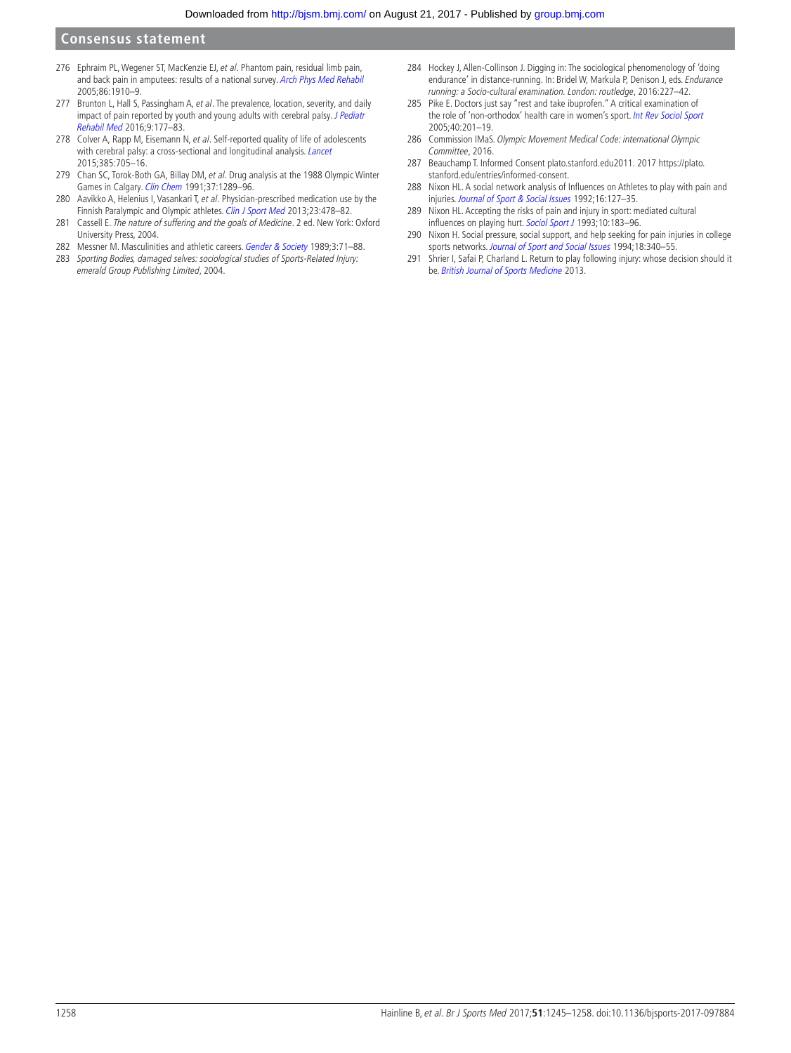- <span id="page-13-0"></span>276 Ephraim PL, Wegener ST, MacKenzie EJ, et al. Phantom pain, residual limb pain, and back pain in amputees: results of a national survey. [Arch Phys Med Rehabil](http://dx.doi.org/10.1016/j.apmr.2005.03.031) 2005;86:1910–9.
- 277 Brunton L, Hall S, Passingham A, et al. The prevalence, location, severity, and daily impact of pain reported by youth and young adults with cerebral palsy. J Pediatr [Rehabil Med](http://dx.doi.org/10.3233/PRM-160379) 2016;9:177–83.
- <span id="page-13-1"></span>278 Colver A, Rapp M, Eisemann N, et al. Self-reported quality of life of adolescents with cerebral palsy: a cross-sectional and longitudinal analysis. *[Lancet](http://dx.doi.org/10.1016/S0140-6736(14)61229-0)* 2015;385:705–16.
- 279 Chan SC, Torok-Both GA, Billay DM, et al. Drug analysis at the 1988 Olympic Winter Games in Calgary. Clin Chem 1991;37:1289-96.
- <span id="page-13-2"></span>280 Aavikko A, Helenius I, Vasankari T, et al. Physician-prescribed medication use by the Finnish Paralympic and Olympic athletes. [Clin J Sport Med](http://dx.doi.org/10.1097/JSM.0b013e31829aef0f) 2013;23:478-82.
- <span id="page-13-3"></span>281 Cassell E. The nature of suffering and the goals of Medicine. 2 ed. New York: Oxford University Press, 2004.
- <span id="page-13-4"></span>282 Messner M. Masculinities and athletic careers. [Gender & Society](http://dx.doi.org/10.1177/089124389003001005) 1989;3:71-88.
- <span id="page-13-5"></span>283 Sporting Bodies, damaged selves: sociological studies of Sports-Related Injury: emerald Group Publishing Limited, 2004.
- <span id="page-13-6"></span>284 Hockey J, Allen-Collinson J. Digging in: The sociological phenomenology of 'doing endurance' in distance-running. In: Bridel W, Markula P, Denison J, eds. Endurance running: a Socio-cultural examination. London: routledge, 2016:227–42.
- <span id="page-13-7"></span>285 Pike E. Doctors just say "rest and take ibuprofen." A critical examination of the role of 'non-orthodox' health care in women's sport. Int Rev Sociol Sport 2005;40:201–19.
- <span id="page-13-8"></span>286 Commission IMaS. Olympic Movement Medical Code: international Olympic Committee, 2016.
- <span id="page-13-9"></span>287 Beauchamp T. Informed Consent plato.stanford.edu2011. 2017 [https://plato.](https://plato.stanford.edu/entries/informed-consent) [stanford.edu/entries/informed-consent](https://plato.stanford.edu/entries/informed-consent).
- 288 Nixon HL. A social network analysis of Influences on Athletes to play with pain and injuries. [Journal of Sport & Social Issues](http://dx.doi.org/10.1177/019372359201600208) 1992;16:127–35.
- 289 Nixon HL. Accepting the risks of pain and injury in sport: mediated cultural influences on playing hurt. [Sociol Sport J](http://dx.doi.org/10.1123/ssj.10.2.183) 1993;10:183-96.
- 290 Nixon H. Social pressure, social support, and help seeking for pain injuries in college sports networks. [Journal of Sport and Social Issues](http://dx.doi.org/10.1177/019372394018004004) 1994;18:340–55.
- <span id="page-13-10"></span>291 Shrier I, Safai P, Charland L. Return to play following injury: whose decision should it be. British Journal of Sports Medicine 2013.